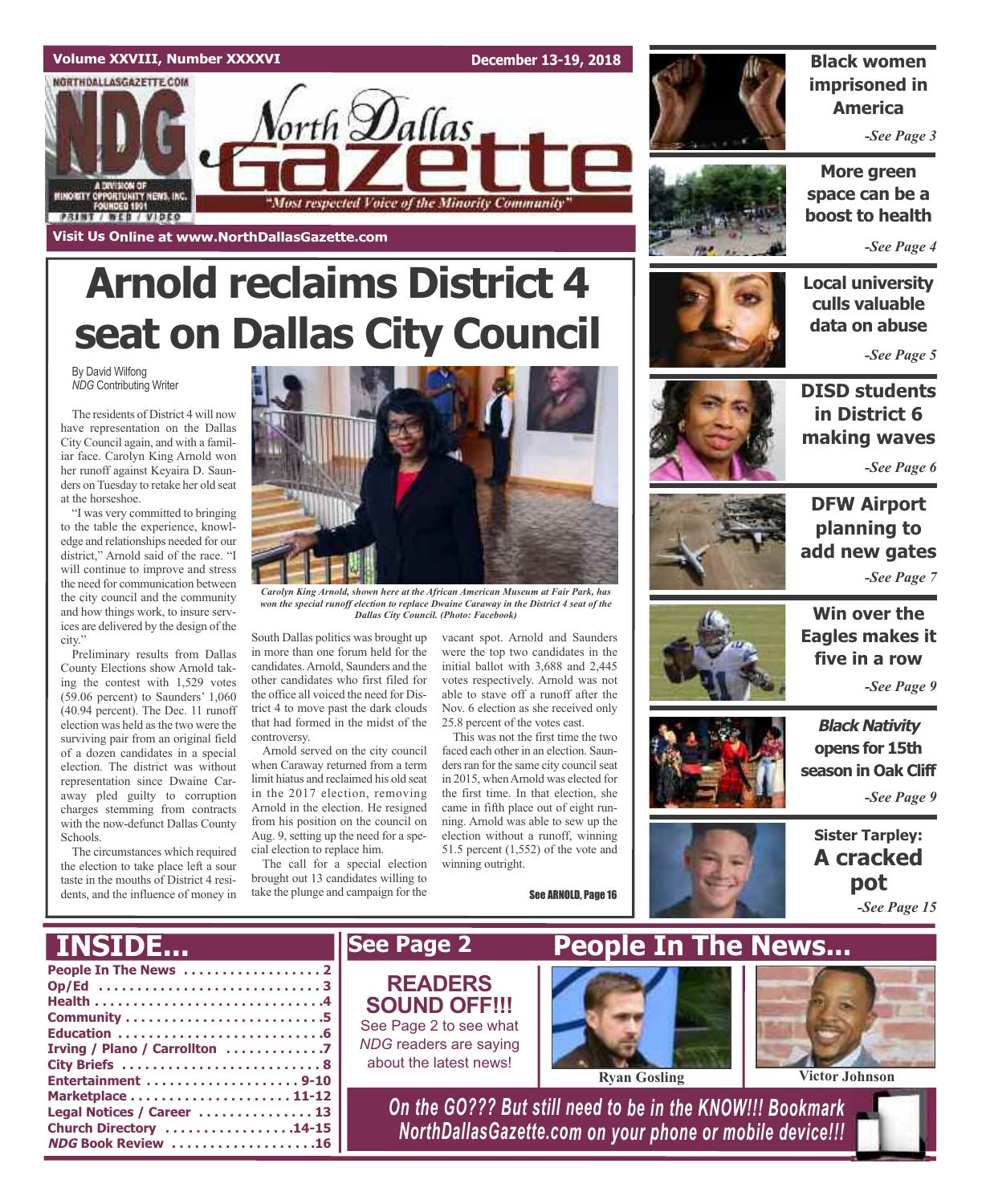

# **Arnold reclaims District 4 seat on Dallas City Council**

By David Wilfong *NDG* Contributing Writer

The residents of District 4 will now have representation on the Dallas City Council again, and with a familiar face. Carolyn King Arnold won her runoff against Keyaira D. Saunders on Tuesday to retake her old seat at the horseshoe.

"I was very committed to bringing to the table the experience, knowledge and relationships needed for our district," Arnold said of the race. "I will continue to improve and stress the need for communication between the city council and the community and how things work, to insure services are delivered by the design of the city."

Preliminary results from Dallas County Elections show Arnold taking the contest with 1,529 votes (59.06 percent) to Saunders' 1,060 (40.94 percent). The Dec. 11 runoff election was held as the two were the surviving pair from an original field of a dozen candidates in a special election. The district was without representation since Dwaine Caraway pled guilty to corruption charges stemming from contracts with the now-defunct Dallas County Schools.

The circumstances which required the election to take place left a sour taste in the mouths of District 4 residents, and the influence of money in



*Carolyn King Arnold, shown here at the African American Museum at Fair Park, has won the special runoff election to replace Dwaine Caraway in the District 4 seat of the Dallas City Council. (Photo: Facebook)*

South Dallas politics was brought up in more than one forum held for the candidates.Arnold, Saunders and the other candidates who first filed for the office all voiced the need for District 4 to move past the dark clouds that had formed in the midst of the controversy.

Arnold served on the city council when Caraway returned from a term limit hiatus and reclaimed his old seat in the 2017 election, removing Arnold in the election. He resigned from his position on the council on Aug. 9, setting up the need for a special election to replace him.

The call for a special election brought out 13 candidates willing to take the plunge and campaign for the

vacant spot. Arnold and Saunders were the top two candidates in the initial ballot with 3,688 and 2,445 votes respectively. Arnold was not able to stave off a runoff after the Nov. 6 election as she received only 25.8 percent of the votes cast.

This was not the first time the two faced each other in an election. Saunders ran for the same city council seat in 2015, when Arnold was elected for the first time. In that election, she came in fifth place out of eight running. Arnold was able to sew up the election without a runoff, winning 51.5 percent (1,552) of the vote and winning outright.

See ARNOLD, Page 16



**Black women imprisoned in America**

*-See Page 3*

**More green space can be a boost to health**

*-See Page 4*

**Local university culls valuable data on abuse**

*-See Page 5*



**DISD students in District 6 making waves**

*-See Page 6*



### **DFW Airport planning to add new gates** *-See Page 7*



**Win over the Eagles makes it five in a row**

*-See Page 9*

**Black Nativity opens for 15th season in Oak Cliff**

*-See Page 9*

**Sister Tarpley: A cracked pot** *-See Page 15*

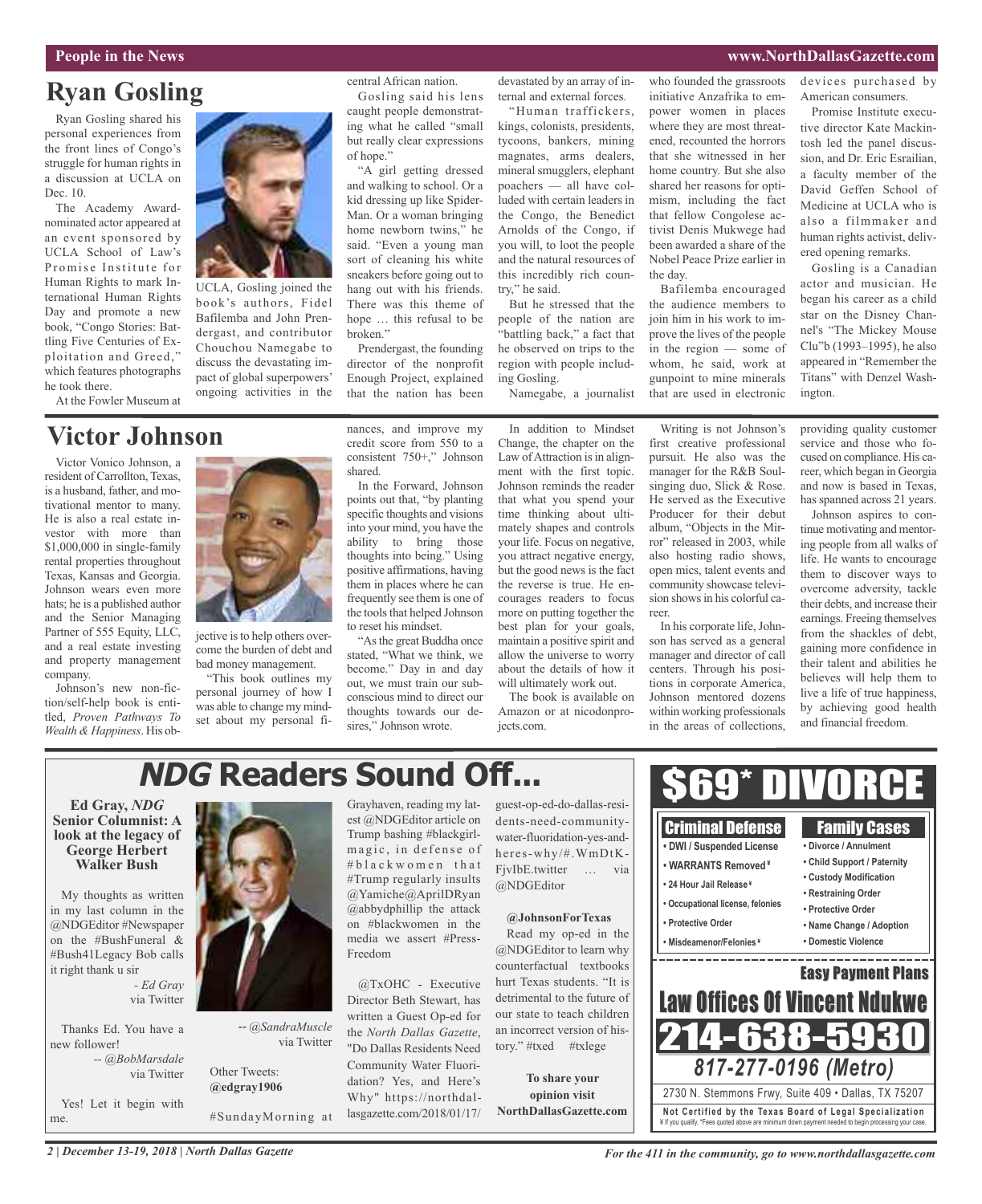### **People in the News www.NorthDallasGazette.com**

### **Ryan Gosling**

Ryan Gosling shared his personal experiences from the front lines of Congo's struggle for human rights in a discussion at UCLA on Dec. 10.

The Academy Awardnominated actor appeared at an event sponsored by UCLA School of Law's Promise Institute for Human Rights to mark International Human Rights Day and promote a new book, "Congo Stories: Battling Five Centuries of Exploitation and Greed," which features photographs he took there.

At the Fowler Museum at

### **Victor Johnson**

Victor Vonico Johnson, a resident of Carrollton, Texas, is a husband, father, and motivational mentor to many. He is also a real estate investor with more than \$1,000,000 in single-family rental properties throughout Texas, Kansas and Georgia. Johnson wears even more hats; he is a published author and the Senior Managing Partner of 555 Equity, LLC, and a real estate investing and property management company.

Johnson's new non-fiction/self-help book is entitled, *Proven Pathways To Wealth & Happiness*. His ob-



UCLA, Gosling joined the book's authors, Fidel Bafilemba and John Prendergast, and contributor Chouchou Namegabe to discuss the devastating impact of global superpowers' ongoing activities in the central African nation.

Gosling said his lens caught people demonstrating what he called "small but really clear expressions of hope."

"A girl getting dressed and walking to school. Or a kid dressing up like Spider-Man. Or a woman bringing home newborn twins," he said. "Even a young man sort of cleaning his white sneakers before going out to hang out with his friends. There was this theme of hope … this refusal to be broken."

Prendergast, the founding director of the nonprofit Enough Project, explained that the nation has been

nances, and improve my credit score from 550 to a consistent 750+," Johnson

In the Forward, Johnson points out that, "by planting specific thoughts and visions into your mind, you have the

shared.

devastated by an array of internal and external forces.

"Human traffickers, kings, colonists, presidents, tycoons, bankers, mining magnates, arms dealers, mineral smugglers, elephant poachers — all have colluded with certain leaders in the Congo, the Benedict Arnolds of the Congo, if you will, to loot the people and the natural resources of this incredibly rich country," he said.

But he stressed that the people of the nation are "battling back," a fact that he observed on trips to the region with people including Gosling.

Namegabe, a journalist

In addition to Mindset Change, the chapter on the Law of Attraction is in alignment with the first topic. Johnson reminds the reader that what you spend your time thinking about ultimately shapes and controls your life. Focus on negative, you attract negative energy, but the good news is the fact the reverse is true. He encourages readers to focus more on putting together the best plan for your goals, maintain a positive spirit and allow the universe to worry about the details of how it will ultimately work out.

The book is available on Amazon or at nicodonprojects.com.

who founded the grassroots initiative Anzafrika to empower women in places where they are most threatened, recounted the horrors that she witnessed in her home country. But she also shared her reasons for optimism, including the fact that fellow Congolese activist Denis Mukwege had been awarded a share of the Nobel Peace Prize earlier in the day.

Bafilemba encouraged the audience members to join him in his work to improve the lives of the people in the region — some of whom, he said, work at gunpoint to mine minerals that are used in electronic

Writing is not Johnson's

devices purchased by American consumers.

Promise Institute executive director Kate Mackintosh led the panel discussion, and Dr. Eric Esrailian, a faculty member of the David Geffen School of Medicine at UCLA who is also a filmmaker and human rights activist, delivered opening remarks.

Gosling is a Canadian actor and musician. He began his career as a child star on the Disney Channel's "The Mickey Mouse Clu"b (1993–1995), he also appeared in "Remember the Titans" with Denzel Washington.

providing quality customer service and those who focused on compliance. His career, which began in Georgia and now is based in Texas, has spanned across 21 years.

Johnson aspires to continue motivating and mentoring people from all walks of life. He wants to encourage them to discover ways to overcome adversity, tackle their debts, and increase their earnings. Freeing themselves from the shackles of debt, gaining more confidence in their talent and abilities he believes will help them to live a life of true happiness, by achieving good health and financial freedom.

Family Cases

### jective is to help others overcome the burden of debt and ability to bring those thoughts into being." Using positive affirmations, having them in places where he can frequently see them is one of the tools that helped Johnson

"This book outlines my



bad money management.

personal journey of how I was able to change my mindset about my personal fi-



**NDG Readers Sound Off...**

**Ed Gray,** *NDG* **Senior Columnist: A look at the legacy of George Herbert Walker Bush**

My thoughts as written in my last column in the @NDGEditor #Newspaper on the #BushFuneral & #Bush41Legacy Bob calls it right thank u sir

> *- Ed Gray* via Twitter

Thanks Ed. You have a new follower! *-- @BobMarsdale*

via Twitter

Yes! Let it begin with me.



via Twitter

Other Tweets: **@edgray1906**

#SundayMorning at

Grayhaven, reading my latest @NDGEditor article on Trump bashing #blackgirlmagic, in defense of # b l a c k w o m e n t h a t #Trump regularly insults @Yamiche@AprilDRyan  $@abbydbhillip$  the attack on #blackwomen in the media we assert #Press-Freedom

"Do Dallas Residents Need Community Water Fluoridation? Yes, and Here's Why" https://northdallasgazette.com/2018/01/17/

guest-op-ed-do-dallas-residents-need-communitywater-fluoridation-yes-andheres-why/#.WmDtK-FjvIbE.twitter … via @NDGEditor

Read my op-ed in the @NDGEditor to learn why counterfactual textbooks hurt Texas students. "It is detrimental to the future of our state to teach children an incorrect version of history." #txed #txlege

**To share your opinion visit**

first creative professional pursuit. He also was the manager for the R&B Soulsinging duo, Slick & Rose. He served as the Executive Producer for their debut album, "Objects in the Mirror" released in 2003, while also hosting radio shows, open mics, talent events and community showcase television shows in his colorful career.

In his corporate life, Johnson has served as a general manager and director of call centers. Through his positions in corporate America, Johnson mentored dozens within working professionals in the areas of collections,

Criminal Defense

### -- *@SandraMuscle* @TxOHC - Executive Director Beth Stewart, has written a Guest Op-ed for the *North Dallas Gazette*,

**@JohnsonForTexas**

**NorthDallasGazette.com**



\$69\* DIVORCE

*2 | December 13-19, 2018 | North Dallas Gazette*

*For the 411 in the community, go to www.northdallasgazette.com*

¥ If you qualify. \*Fees quoted above are minimum down payment needed to begin processing your case.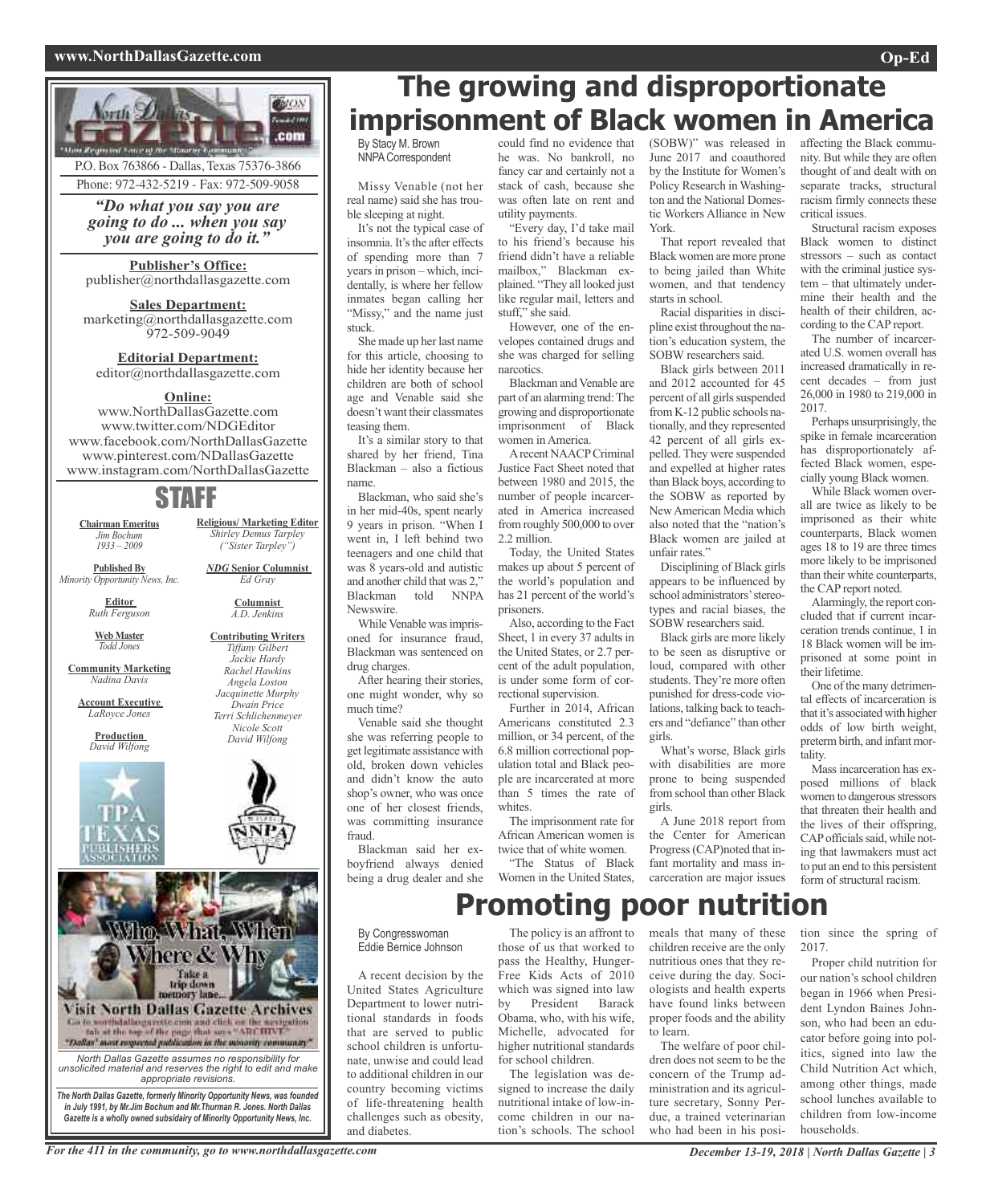### **www.NorthDallasGazette.com Op-Ed**





### P.O. Box 763866 - Dallas, Texas 75376-3866 Phone: 972-432-5219 - Fax: 972-509-9058

*"Do what you say you are going to do ... when you say you are going to do it."*

### **Publisher's Office:**

publisher@northdallasgazette.com

### **Sales Department:**

marketing@northdallasgazette.com 972-509-9049

### **Editorial Department:** editor@northdallasgazette.com

#### **Online:**

www.NorthDallasGazette.com www.twitter.com/NDGEditor www.facebook.com/NorthDallasGazette www.pinterest.com/NDallasGazette www.instagram.com/NorthDallasGazette

### STAFF

**Religious/ Marketing Editor** *Shirley Demus Tarpley ("Sister Tarpley") NDG* **Senior Columnist** *Ed Gray* **Columnist** *A.D. Jenkins* **Contributing Writers** *Tiffany Gilbert Jackie Hardy Rachel Hawkins Angela Loston Jacquinette Murphy Dwain Price Terri Schlichenmeyer Nicole Scott David Wilfong*

**Chairman Emeritus** *Jim Bochum 1933 – 2009*

**Published By** *Minority Opportunity News, Inc.*

> **Editor** *Ruth Ferguson*

**Web Master** *Todd Jones*

**Community Marketing** *Nadina Davis*

**Account Executive** *LaRoyce Jones*

> **Production** *David Wilfong*





*in July 1991, by Mr.Jim Bochum and Mr.Thurman R. Jones. North Dallas Gazette is a wholly owned subsidairy of Minority Opportunity News, Inc.*

## **The growing and disproportionate imprisonment of Black women in America**

By Stacy M. Brown NNPACorrespondent

Missy Venable (not her real name) said she has trouble sleeping at night.

It's not the typical case of insomnia. It's the after effects of spending more than 7 years in prison – which, incidentally, is where her fellow inmates began calling her "Missy," and the name just stuck.

She made up her last name for this article, choosing to hide her identity because her children are both of school age and Venable said she doesn't want their classmates teasing them.

It's a similar story to that shared by her friend, Tina Blackman – also a fictious name.

Blackman, who said she's in her mid-40s, spent nearly 9 years in prison. "When I went in, I left behind two teenagers and one child that was 8 years-old and autistic and another child that was 2," Blackman told NNPA Newswire.

While Venable was imprisoned for insurance fraud, Blackman was sentenced on drug charges.

After hearing their stories, one might wonder, why so much time?

Venable said she thought she was referring people to get legitimate assistance with old, broken down vehicles and didn't know the auto shop's owner, who was once one of her closest friends, was committing insurance fraud.

Blackman said her exboyfriend always denied being a drug dealer and she could find no evidence that he was. No bankroll, no fancy car and certainly not a stack of cash, because she was often late on rent and utility payments.

"Every day, I'd take mail to his friend's because his friend didn't have a reliable mailbox," Blackman explained. "They all looked just like regular mail, letters and stuff," she said.

However, one of the envelopes contained drugs and she was charged for selling narcotics.

Blackman and Venable are part of an alarming trend: The growing and disproportionate imprisonment of Black women in America.

Arecent NAACPCriminal Justice Fact Sheet noted that between 1980 and 2015, the number of people incarcerated in America increased from roughly 500,000 to over 2.2 million.

Today, the United States makes up about 5 percent of the world's population and has 21 percent of the world's prisoners.

Also, according to the Fact Sheet, 1 in every 37 adults in the United States, or 2.7 percent of the adult population, is under some form of correctional supervision.

Further in 2014, African Americans constituted 2.3 million, or 34 percent, of the 6.8 million correctional population total and Black people are incarcerated at more than 5 times the rate of whites.

The imprisonment rate for African American women is twice that of white women.

"The Status of Black Women in the United States, (SOBW)" was released in June 2017 and coauthored by the Institute for Women's Policy Research in Washington and the National Domestic Workers Alliance in New York.

That report revealed that Black women are more prone to being jailed than White women, and that tendency starts in school.

Racial disparities in discipline exist throughout the nation's education system, the SOBW researchers said.

Black girls between 2011 and 2012 accounted for 45 percent of all girls suspended from K-12 public schools nationally, and they represented 42 percent of all girls expelled. They were suspended and expelled at higher rates than Black boys, according to the SOBW as reported by NewAmerican Media which also noted that the "nation's Black women are jailed at unfair rates."

Disciplining of Black girls appears to be influenced by school administrators'stereotypes and racial biases, the SOBW researchers said.

Black girls are more likely to be seen as disruptive or loud, compared with other students. They're more often punished for dress-code violations, talking back to teachers and "defiance" than other girls.

What's worse, Black girls with disabilities are more prone to being suspended from school than other Black girls.

A June 2018 report from the Center for American Progress(CAP)noted that infant mortality and mass incarceration are major issues

**Promoting poor nutrition**

#### By Congresswoman Eddie Bernice Johnson

A recent decision by the United States Agriculture Department to lower nutritional standards in foods that are served to public school children is unfortunate, unwise and could lead to additional children in our country becoming victims of life-threatening health challenges such as obesity, and diabetes.

The policy is an affront to those of us that worked to pass the Healthy, Hunger-Free Kids Acts of 2010 which was signed into law by President Barack Obama, who, with his wife, Michelle, advocated for higher nutritional standards for school children.

The legislation was designed to increase the daily nutritional intake of low-income children in our nation's schools. The school meals that many of these children receive are the only nutritious ones that they receive during the day. Sociologists and health experts have found links between proper foods and the ability to learn.

The welfare of poor children does not seem to be the concern of the Trump administration and its agriculture secretary, Sonny Perdue, a trained veterinarian who had been in his posiaffecting the Black community. But while they are often thought of and dealt with on separate tracks, structural racism firmly connects these critical issues.

Structural racism exposes Black women to distinct stressors – such as contact with the criminal justice system – that ultimately undermine their health and the health of their children, according to the CAP report.

The number of incarcerated U.S. women overall has increased dramatically in recent decades – from just 26,000 in 1980 to 219,000 in 2017.

Perhaps unsurprisingly, the spike in female incarceration has disproportionately affected Black women, especially young Black women.

While Black women overall are twice as likely to be imprisoned as their white counterparts, Black women ages 18 to 19 are three times more likely to be imprisoned than their white counterparts, the CAP report noted.

Alarmingly, the report concluded that if current incarceration trends continue, 1 in 18 Black women will be imprisoned at some point in their lifetime.

One of the many detrimental effects of incarceration is that it's associated with higher odds of low birth weight, preterm birth, and infant mortality.

Mass incarceration has exposed millions of black women to dangerous stressors that threaten their health and the lives of their offspring, CAP officials said, while noting that lawmakers must act to put an end to this persistent form of structural racism.

tion since the spring of 2017.

Proper child nutrition for our nation's school children began in 1966 when President Lyndon Baines Johnson, who had been an educator before going into politics, signed into law the Child Nutrition Act which, among other things, made school lunches available to children from low-income households.

For the 411 in the community, go to www.northdallasgazette.com December 13-19, 2018 | North Dallas Gazette | 3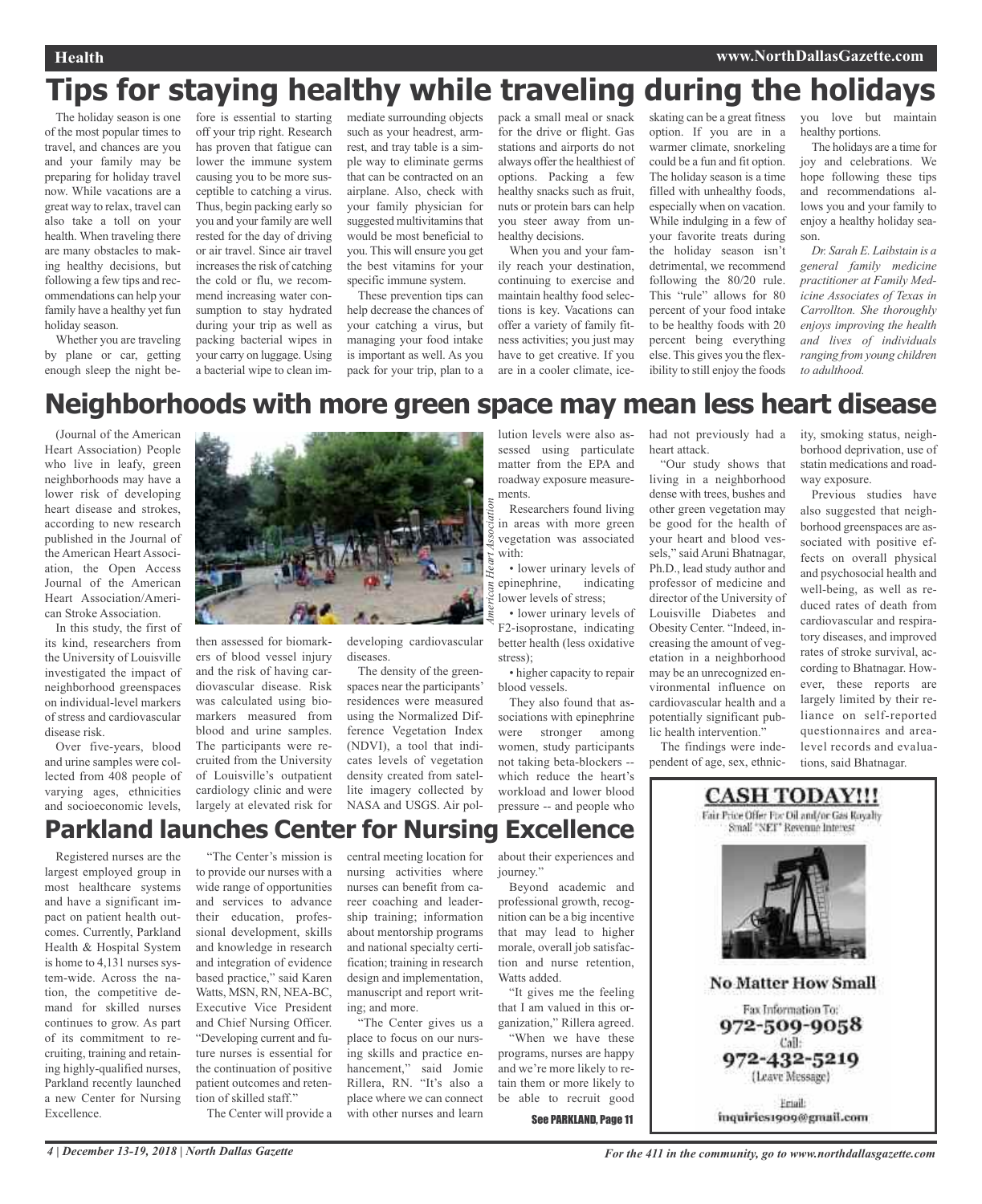### **Health www.NorthDallasGazette.com**

## **Tips for staying healthy while traveling during the holidays**

The holiday season is one of the most popular times to travel, and chances are you and your family may be preparing for holiday travel now. While vacations are a great way to relax, travel can also take a toll on your health. When traveling there are many obstacles to making healthy decisions, but following a few tips and recommendations can help your family have a healthy yet fun holiday season.

Whether you are traveling by plane or car, getting enough sleep the night be-

fore is essential to starting off your trip right. Research has proven that fatigue can lower the immune system causing you to be more susceptible to catching a virus. Thus, begin packing early so you and your family are well rested for the day of driving or air travel. Since air travel increases the risk of catching the cold or flu, we recommend increasing water consumption to stay hydrated during your trip as well as packing bacterial wipes in your carry on luggage. Using a bacterial wipe to clean im-

mediate surrounding objects such as your headrest, armrest, and tray table is a simple way to eliminate germs that can be contracted on an airplane. Also, check with your family physician for suggested multivitamins that would be most beneficial to you. This will ensure you get the best vitamins for your specific immune system.

These prevention tips can help decrease the chances of your catching a virus, but managing your food intake is important as well. As you pack for your trip, plan to a pack a small meal or snack for the drive or flight. Gas stations and airports do not always offer the healthiest of options. Packing a few healthy snacks such as fruit, nuts or protein bars can help you steer away from unhealthy decisions.

When you and your family reach your destination, continuing to exercise and maintain healthy food selections is key. Vacations can offer a variety of family fitness activities; you just may have to get creative. If you are in a cooler climate, iceskating can be a great fitness option. If you are in a warmer climate, snorkeling could be a fun and fit option. The holiday season is a time filled with unhealthy foods, especially when on vacation. While indulging in a few of your favorite treats during the holiday season isn't detrimental, we recommend following the 80/20 rule. This "rule" allows for 80 percent of your food intake to be healthy foods with 20 percent being everything else. This gives you the flexibility to still enjoy the foods

you love but maintain healthy portions.

The holidays are a time for joy and celebrations. We hope following these tips and recommendations allows you and your family to enjoy a healthy holiday season.

*Dr. Sarah E. Laibstain is a general family medicine practitioner at Family Medicine Associates of Texas in Carrollton. She thoroughly enjoys improving the health and lives of individuals ranging from young children to adulthood.*

## **Neighborhoods with more green space may mean less heart disease**

(Journal of the American Heart Association) People who live in leafy, green neighborhoods may have a lower risk of developing heart disease and strokes, according to new research published in the Journal of the American Heart Association, the Open Access Journal of the American Heart Association/American Stroke Association.

In this study, the first of its kind, researchers from the University of Louisville investigated the impact of neighborhood greenspaces on individual-level markers of stress and cardiovascular disease risk.

Over five-years, blood and urine samples were collected from 408 people of varying ages, ethnicities and socioeconomic levels,



then assessed for biomarkers of blood vessel injury and the risk of having cardiovascular disease. Risk was calculated using biomarkers measured from blood and urine samples. The participants were recruited from the University of Louisville's outpatient cardiology clinic and were largely at elevated risk for developing cardiovascular diseases.

The density of the greenspaces near the participants' residences were measured using the Normalized Difference Vegetation Index (NDVI), a tool that indicates levels of vegetation density created from satellite imagery collected by NASA and USGS. Air pol-

lution levels were also assessed using particulate matter from the EPA and roadway exposure measurements.

Researchers found living in areas with more green vegetation was associated with:

• lower urinary levels of epinephrine, indicating lower levels of stress;

• lower urinary levels of F2-isoprostane, indicating better health (less oxidative stress);

• higher capacity to repair blood vessels.

They also found that associations with epinephrine were stronger among women, study participants not taking beta-blockers - which reduce the heart's workload and lower blood pressure -- and people who

had not previously had a heart attack.

"Our study shows that living in a neighborhood dense with trees, bushes and other green vegetation may be good for the health of your heart and blood vessels," said Aruni Bhatnagar, Ph.D., lead study author and professor of medicine and director of the University of Louisville Diabetes and Obesity Center. "Indeed, increasing the amount of vegetation in a neighborhood may be an unrecognized environmental influence on cardiovascular health and a potentially significant public health intervention.'

The findings were independent of age, sex, ethnicity, smoking status, neighborhood deprivation, use of statin medications and roadway exposure.

Previous studies have also suggested that neighborhood greenspaces are associated with positive effects on overall physical and psychosocial health and well-being, as well as reduced rates of death from cardiovascular and respiratory diseases, and improved rates of stroke survival, according to Bhatnagar. However, these reports are largely limited by their reliance on self-reported questionnaires and arealevel records and evaluations, said Bhatnagar.

## **Parkland launches Center for Nursing Excellence**

Registered nurses are the largest employed group in most healthcare systems and have a significant impact on patient health outcomes. Currently, Parkland Health & Hospital System is home to 4,131 nurses system-wide. Across the nation, the competitive demand for skilled nurses continues to grow. As part of its commitment to recruiting, training and retaining highly-qualified nurses, Parkland recently launched a new Center for Nursing Excellence.

"The Center's mission is to provide our nurses with a wide range of opportunities and services to advance their education, professional development, skills and knowledge in research and integration of evidence based practice," said Karen Watts, MSN, RN, NEA-BC, Executive Vice President and Chief Nursing Officer. "Developing current and future nurses is essential for the continuation of positive patient outcomes and retention of skilled staff."

The Center will provide a

central meeting location for nursing activities where nurses can benefit from career coaching and leadership training; information about mentorship programs and national specialty certification; training in research design and implementation, manuscript and report writing; and more.

"The Center gives us a place to focus on our nursing skills and practice enhancement," said Jomie Rillera, RN. "It's also a place where we can connect with other nurses and learn

about their experiences and iourney."

Beyond academic and professional growth, recognition can be a big incentive that may lead to higher morale, overall job satisfaction and nurse retention, Watts added.

"It gives me the feeling that I am valued in this organization," Rillera agreed.

"When we have these programs, nurses are happy and we're more likely to retain them or more likely to be able to recruit good

See PARKLAND, Page 11

Fair Price Offer For Oil and/or Gas Royalty Small "NET" Revenue Interest **No Matter How Small** Fax Information To: 972-509-9058 Call: 972-432-5219 (Leave Message)

**CASH TODAY!!!** 

Email: inquiries1909@gmail.com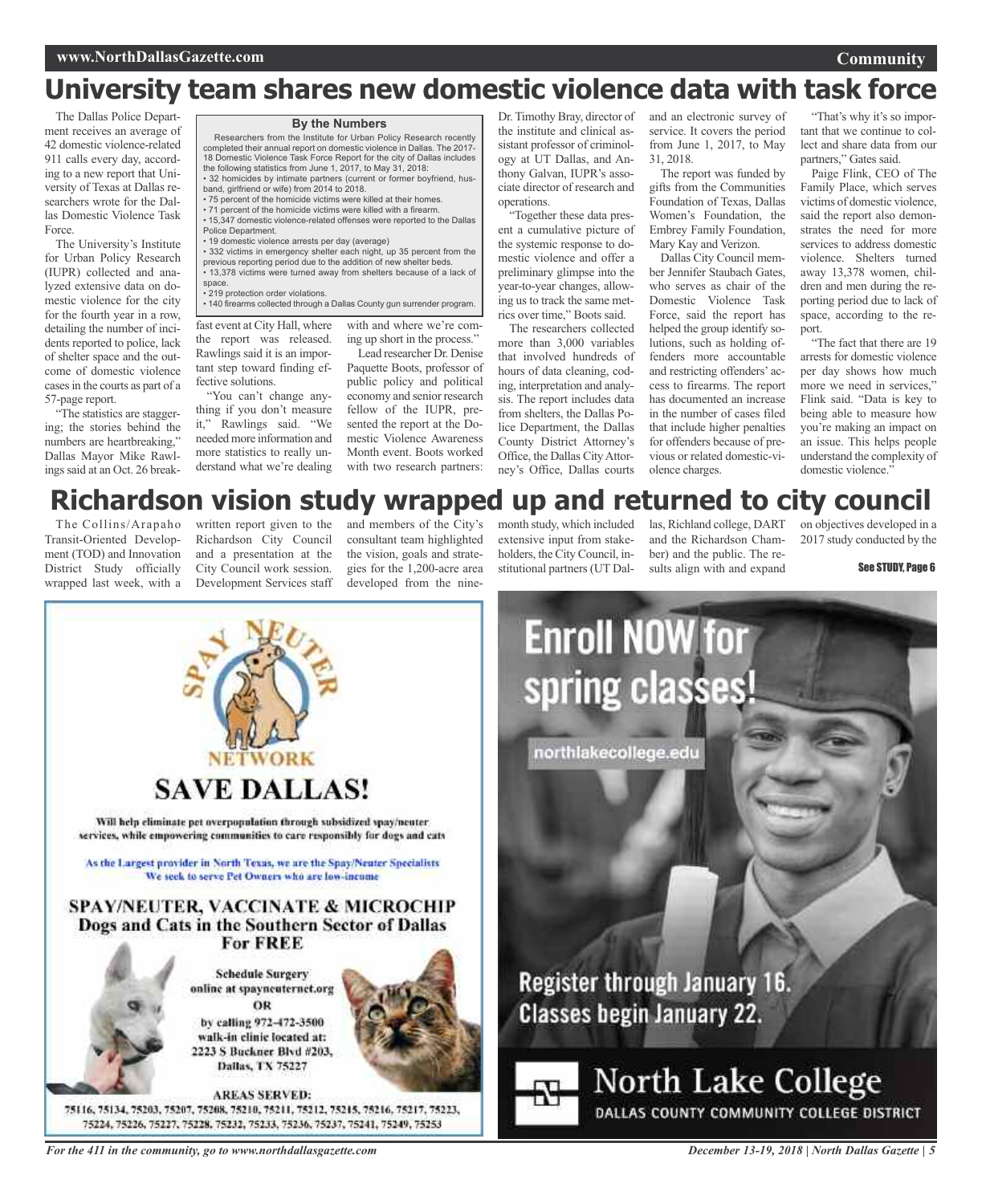## **University team shares new domestic violence data with task force**

The Dallas Police Department receives an average of 42 domestic violence-related 911 calls every day, according to a new report that University of Texas at Dallas researchers wrote for the Dallas Domestic Violence Task Force.

The University's Institute for Urban Policy Research (IUPR) collected and analyzed extensive data on domestic violence for the city for the fourth year in a row, detailing the number of incidents reported to police, lack of shelter space and the outcome of domestic violence casesin the courts as part of a 57-page report.

"The statistics are staggering; the stories behind the numbers are heartbreaking," Dallas Mayor Mike Rawlings said at an Oct. 26 break• 71 percent of the homicide victims were killed with a firearm. • 15,347 domestic violence-related offenses were reported to the Dallas Police Department. • 19 domestic violence arrests per day (average) • 332 victims in emergency shelter each night, up 35 percent from the previous reporting period due to the addition of new shelter beds.

band, girlfriend or wife) from 2014 to 2018.

• 13,378 victims were turned away from shelters because of a lack of space.

**By the Numbers** Researchers from the Institute for Urban Policy Research recently completed their annual report on domestic violence in Dallas. The 2017- 18 Domestic Violence Task Force Report for the city of Dallas includes

• 32 homicides by intimate partners (current or former boyfriend, hus-

the following statistics from June 1, 2017, to May 31, 2018:

• 75 percent of the homicide victims were killed at their homes.

• 219 protection order violations.

• 140 firearms collected through a Dallas County gun surrender program.

fast event at City Hall, where the report was released. Rawlings said it is an important step toward finding effective solutions.

"You can't change anything if you don't measure it," Rawlings said. "We needed more information and more statistics to really understand what we're dealing

with and where we're coming up short in the process." Lead researcher Dr. Denise

Paquette Boots, professor of public policy and political economy and senior research fellow of the IUPR, presented the report at the Domestic Violence Awareness Month event. Boots worked with two research partners:

Dr. Timothy Bray, director of the institute and clinical assistant professor of criminology at UT Dallas, and Anthony Galvan, IUPR's associate director of research and operations.

"Together these data present a cumulative picture of the systemic response to domestic violence and offer a preliminary glimpse into the year-to-year changes, allowing us to track the same metrics over time," Boots said.

The researchers collected more than 3,000 variables that involved hundreds of hours of data cleaning, coding, interpretation and analysis. The report includes data from shelters, the Dallas Police Department, the Dallas County District Attorney's Office, the Dallas CityAttorney's Office, Dallas courts

and an electronic survey of service. It covers the period from June 1, 2017, to May 31, 2018.

The report was funded by gifts from the Communities Foundation of Texas, Dallas Women's Foundation, the Embrey Family Foundation, Mary Kay and Verizon.

Dallas City Council member Jennifer Staubach Gates, who serves as chair of the Domestic Violence Task Force, said the report has helped the group identify solutions, such as holding offenders more accountable and restricting offenders' access to firearms. The report has documented an increase in the number of cases filed that include higher penalties for offenders because of previous or related domestic-violence charges.

"That's why it's so important that we continue to collect and share data from our partners," Gates said.

Paige Flink, CEO of The Family Place, which serves victims of domestic violence, said the report also demonstrates the need for more services to address domestic violence. Shelters turned away 13,378 women, children and men during the reporting period due to lack of space, according to the report.

"The fact that there are 19 arrests for domestic violence per day shows how much more we need in services," Flink said. "Data is key to being able to measure how you're making an impact on an issue. This helps people understand the complexity of domestic violence."

### **Richardson vision study wrapped up and returned to city council**

The Collins/Arapaho Transit-Oriented Development (TOD) and Innovation District Study officially wrapped last week, with a

written report given to the Richardson City Council and a presentation at the City Council work session. Development Services staff

and members of the City's consultant team highlighted the vision, goals and strategies for the 1,200-acre area developed from the ninemonth study, which included extensive input from stakeholders, the City Council, institutional partners(UT Dal-

las, Richland college, DART and the Richardson Chamber) and the public. The results align with and expand

on objectives developed in a 2017 study conducted by the

See STUDY, Page 6



**Schedule Surgery** online at spayneuternet.org ÖR

**For FREE** 

by calling 972-472-3500 walk-in clinic located at: 2223 S Buckner Blvd #203, Dallas, TX 75227

**AREAS SERVED:** 75116, 75134, 75203, 75207, 75208, 75210, 75211, 75212, 75215, 75216, 75217, 75223, 75224, 75226, 75227, 75228, 75232, 75233, 75236, 75237, 75241, 75249, 75253

*For the 411 in the community, go to www.northdallasgazette.com*

### *December 13-19, 2018 | North Dallas Gazette | 5*

**Community**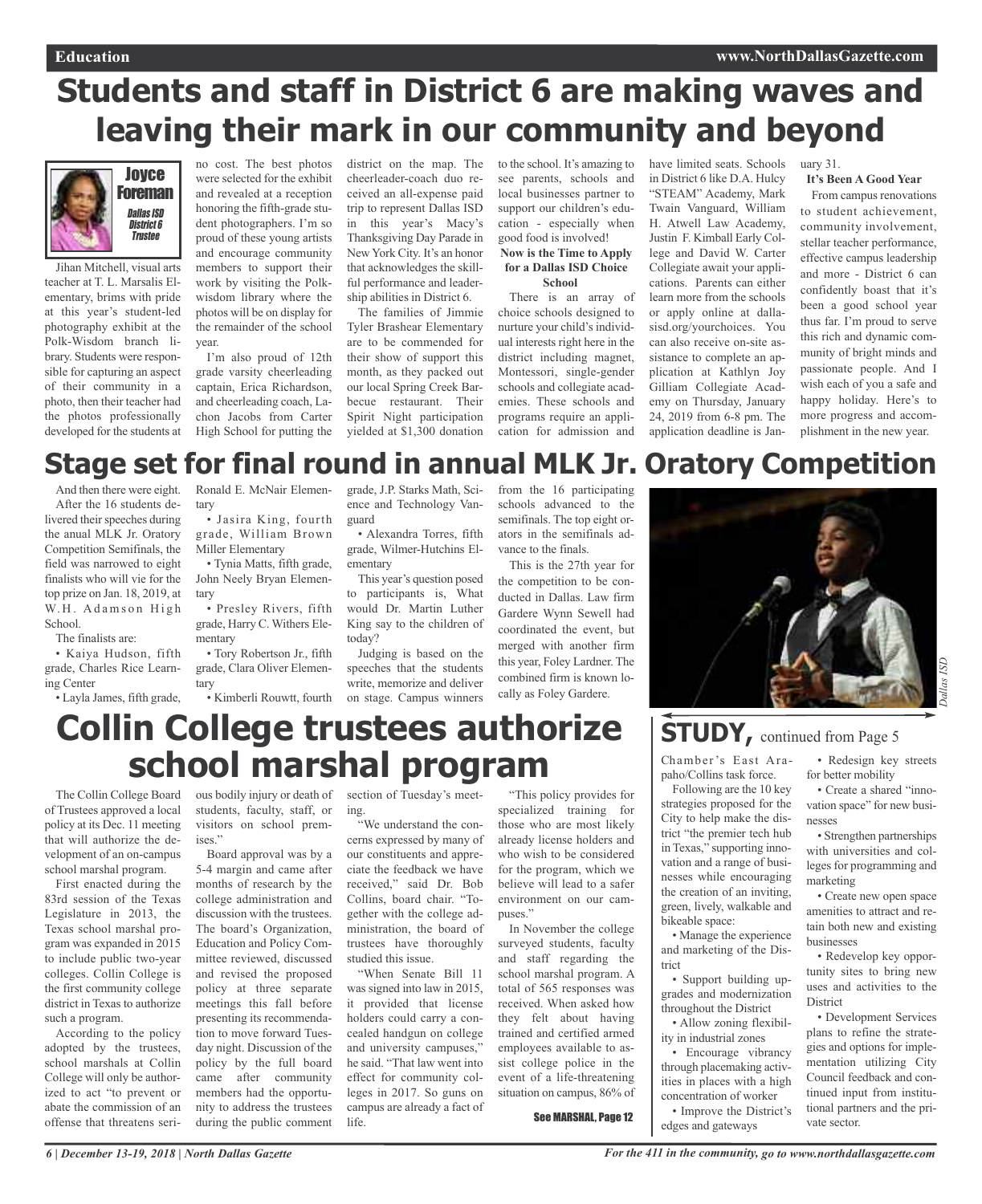### **Education www.NorthDallasGazette.com**

## **Students and staff in District 6 are making waves and leaving their mark in our community and beyond**



Jihan Mitchell, visual arts teacher at T. L. Marsalis Elementary, brims with pride at this year's student-led photography exhibit at the Polk-Wisdom branch library. Students were responsible for capturing an aspect of their community in a photo, then their teacher had the photos professionally developed for the students at

no cost. The best photos were selected for the exhibit and revealed at a reception honoring the fifth-grade student photographers. I'm so proud of these young artists and encourage community members to support their work by visiting the Polkwisdom library where the photos will be on display for the remainder of the school year.

I'm also proud of 12th grade varsity cheerleading captain, Erica Richardson, and cheerleading coach, Lachon Jacobs from Carter High School for putting the

• Jasira King, fourth grade, William Brown

• Tynia Matts, fifth grade, John Neely Bryan Elemendistrict on the map. The cheerleader-coach duo received an all-expense paid trip to represent Dallas ISD in this year's Macy's Thanksgiving Day Parade in New York City. It's an honor that acknowledges the skillful performance and leadership abilities in District 6.

The families of Jimmie Tyler Brashear Elementary are to be commended for their show of support this month, as they packed out our local Spring Creek Barbecue restaurant. Their Spirit Night participation yielded at \$1,300 donation to the school. It's amazing to see parents, schools and local businesses partner to support our children's education - especially when good food is involved!

#### **Now is the Time to Apply for a Dallas ISD Choice School**

There is an array of choice schools designed to nurture your child's individual interests right here in the district including magnet, Montessori, single-gender schools and collegiate academies. These schools and programs require an application for admission and

have limited seats. Schools in District 6 like D.A. Hulcy "STEAM" Academy, Mark Twain Vanguard, William H. Atwell Law Academy, Justin F. Kimball Early College and David W. Carter Collegiate await your applications. Parents can either learn more from the schools or apply online at dallasisd.org/yourchoices. You can also receive on-site assistance to complete an application at Kathlyn Joy Gilliam Collegiate Academy on Thursday, January 24, 2019 from 6-8 pm. The application deadline is Jan-

uary 31.

### **It's Been A Good Year**

From campus renovations to student achievement, community involvement, stellar teacher performance, effective campus leadership and more - District 6 can confidently boast that it's been a good school year thus far. I'm proud to serve this rich and dynamic community of bright minds and passionate people. And I wish each of you a safe and happy holiday. Here's to more progress and accomplishment in the new year.

### **Stage set for final round in annual MLK Jr. Oratory Competition** Ronald E. McNair Elemen-

And then there were eight. After the 16 students delivered their speeches during the anual MLK Jr. Oratory Competition Semifinals, the field was narrowed to eight finalists who will vie for the top prize on Jan. 18, 2019, at W.H. Adamson High School.

The finalists are:

• Kaiya Hudson, fifth grade, Charles Rice Learning Center • Layla James, fifth grade,

• Presley Rivers, fifth grade, Harry C. Withers Elementary

tary

tary

• Tory Robertson Jr., fifth grade, Clara Oliver Elementary

Miller Elementary

grade, J.P. Starks Math, Science and Technology Vanguard

• Alexandra Torres, fifth grade, Wilmer-Hutchins Elementary

This year's question posed to participants is, What would Dr. Martin Luther King say to the children of today?

• Kimberli Rouwtt, fourth on stage. Campus winners Judging is based on the speeches that the students write, memorize and deliver from the 16 participating schools advanced to the semifinals. The top eight orators in the semifinals advance to the finals.

This is the 27th year for the competition to be conducted in Dallas. Law firm Gardere Wynn Sewell had coordinated the event, but merged with another firm this year, Foley Lardner. The combined firm is known locally as Foley Gardere.



## **STUDY,** continued from Page <sup>5</sup>

Chamber's East Arapaho/Collins task force.

Following are the 10 key strategies proposed for the City to help make the district "the premier tech hub in Texas," supporting innovation and a range of businesses while encouraging the creation of an inviting, green, lively, walkable and bikeable space:

• Manage the experience and marketing of the District

• Support building upgrades and modernization throughout the District

• Allow zoning flexibility in industrial zones

• Encourage vibrancy through placemaking activities in places with a high concentration of worker

• Improve the District's edges and gateways

*Dallas ISD*

ΙSD

## **Collin College trustees authorize school marshal program**

The Collin College Board of Trustees approved a local policy at its Dec. 11 meeting that will authorize the development of an on-campus school marshal program.

First enacted during the 83rd session of the Texas Legislature in 2013, the Texas school marshal program was expanded in 2015 to include public two-year colleges. Collin College is the first community college district in Texas to authorize such a program.

According to the policy adopted by the trustees, school marshals at Collin College will only be authorized to act "to prevent or abate the commission of an offense that threatens serious bodily injury or death of students, faculty, staff, or visitors on school premises."

Board approval was by a 5-4 margin and came after months of research by the college administration and discussion with the trustees. The board's Organization, Education and Policy Committee reviewed, discussed and revised the proposed policy at three separate meetings this fall before presenting its recommendation to move forward Tuesday night. Discussion of the policy by the full board came after community members had the opportunity to address the trustees during the public comment

section of Tuesday's meeting.

"We understand the concerns expressed by many of our constituents and appreciate the feedback we have received," said Dr. Bob Collins, board chair. "Together with the college administration, the board of trustees have thoroughly studied this issue.

"When Senate Bill 11 was signed into law in 2015, it provided that license holders could carry a concealed handgun on college and university campuses," he said. "That law went into effect for community colleges in 2017. So guns on campus are already a fact of life.

"This policy provides for specialized training for those who are most likely already license holders and who wish to be considered for the program, which we believe will lead to a safer environment on our campuses."

In November the college surveyed students, faculty and staff regarding the school marshal program. A total of 565 responses was received. When asked how they felt about having trained and certified armed employees available to assist college police in the event of a life-threatening situation on campus, 86% of

See MARSHAL, Page 12

• Redesign key streets for better mobility

• Create a shared "innovation space" for new businesses

• Strengthen partnerships with universities and colleges for programming and marketing

• Create new open space amenities to attract and retain both new and existing businesses

• Redevelop key opportunity sites to bring new uses and activities to the **District** 

• Development Services plans to refine the strategies and options for implementation utilizing City Council feedback and continued input from institutional partners and the private sector.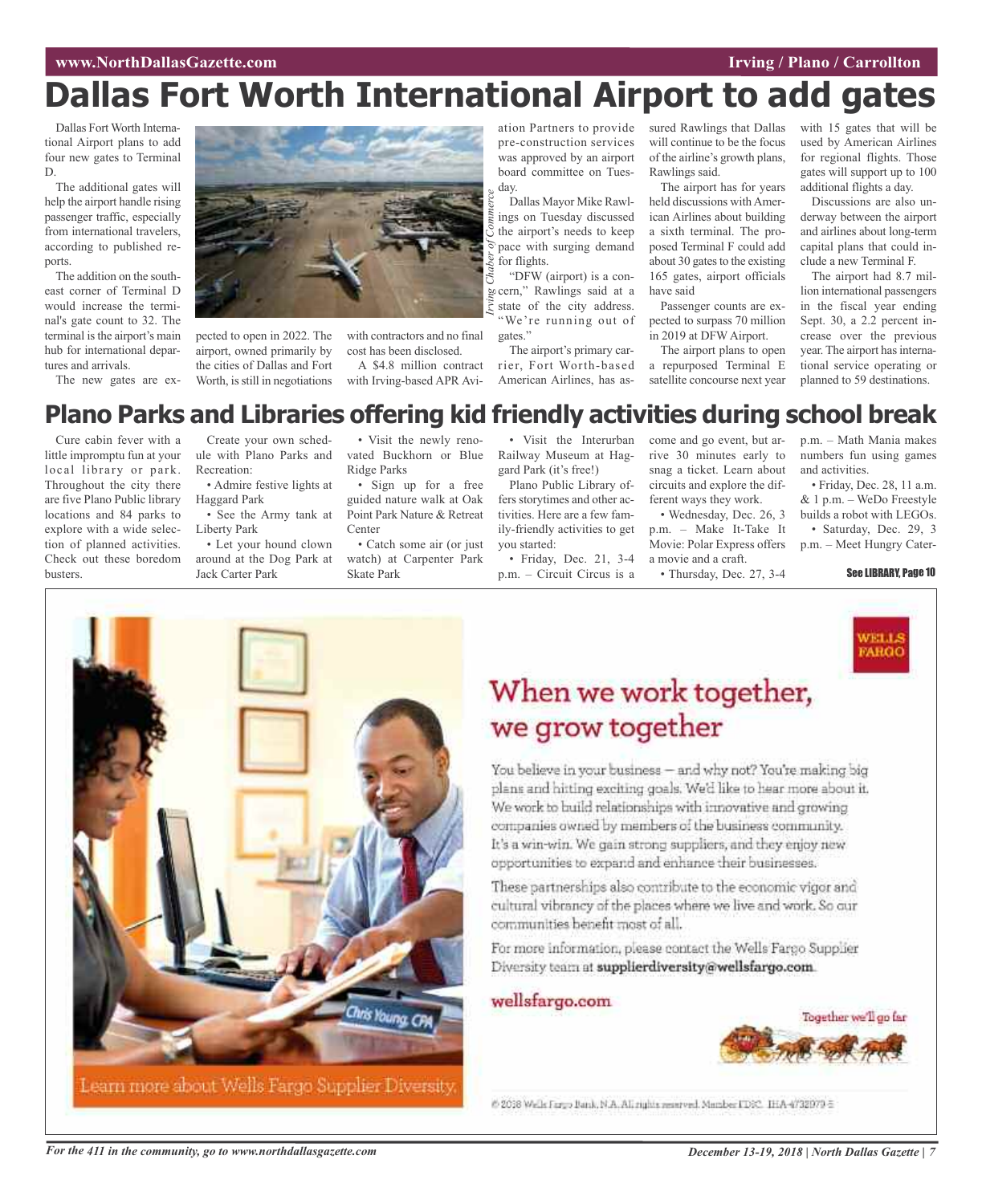## **Dallas Fort Worth International Airport to add gates**

*merce*

Dallas Fort Worth International Airport plans to add four new gates to Terminal D.

The additional gates will help the airport handle rising passenger traffic, especially from international travelers, according to published reports.

The addition on the southeast corner of Terminal D would increase the terminal's gate count to 32. The terminal is the airport's main hub for international departures and arrivals.

The new gates are ex-



pected to open in 2022. The airport, owned primarily by the cities of Dallas and Fort Worth, is still in negotiations

with contractors and no final cost has been disclosed.

A \$4.8 million contract with Irving-based APR Avi-

ation Partners to provide pre-construction services was approved by an airport board committee on Tuesday.

Dallas Mayor Mike Rawlings on Tuesday discussed the airport's needs to keep pace with surging demand for flights.

*IRVING* cern," Rawlings said at a strate of the city address. "DFW (airport) is a constate of the city address. "We're running out of gates."

The airport's primary carrier, Fort Worth-based American Airlines, has assured Rawlings that Dallas will continue to be the focus of the airline's growth plans, Rawlings said.

The airport has for years held discussions withAmerican Airlines about building a sixth terminal. The proposed Terminal F could add about 30 gates to the existing 165 gates, airport officials have said

Passenger counts are expected to surpass 70 million in 2019 at DFWAirport.

The airport plans to open a repurposed Terminal E satellite concourse next year with 15 gates that will be used by American Airlines for regional flights. Those gates will support up to 100 additional flights a day.

Discussions are also underway between the airport and airlines about long-term capital plans that could include a new Terminal F.

The airport had 8.7 million international passengers in the fiscal year ending Sept. 30, a 2.2 percent increase over the previous year. The airport has international service operating or planned to 59 destinations.

## **Plano Parks and Libraries offering kid friendly activities during school break**

Cure cabin fever with a little impromptu fun at your local library or park. Throughout the city there are five Plano Public library locations and 84 parks to explore with a wide selection of planned activities. Check out these boredom busters.

Create your own schedule with Plano Parks and Recreation:

• Admire festive lights at Haggard Park

• See the Army tank at Liberty Park

• Let your hound clown around at the Dog Park at Jack Carter Park

• Visit the newly renovated Buckhorn or Blue Ridge Parks

• Sign up for a free guided nature walk at Oak Point Park Nature & Retreat Center

• Catch some air (or just watch) at Carpenter Park Skate Park

• Visit the Interurban Railway Museum at Haggard Park (it's free!)

Plano Public Library offers storytimes and other activities. Here are a few family-friendly activities to get you started:

• Friday, Dec. 21, 3-4 p.m. – Circuit Circus is a

come and go event, but arrive 30 minutes early to snag a ticket. Learn about circuits and explore the dif-

ferent ways they work. • Wednesday, Dec. 26, 3 p.m. – Make It-Take It Movie: Polar Express offers a movie and a craft.

• Thursday, Dec. 27, 3-4



• Friday, Dec. 28, 11 a.m. & 1 p.m. – WeDo Freestyle builds a robot with LEGOs. • Saturday, Dec. 29, 3 p.m. – Meet Hungry Cater-

#### See LIBRARY, Page 10



## When we work together, we grow together

You believe in your business - and why not? You're making big plans and hitting exciting goals. We'd like to hear more about it. We work to build relationships with innovative and growing companies owned by members of the business community. It's a win-win. We gain strong suppliers, and they enjoy new opportunities to expand and enhance their businesses.

These partnerships also contribute to the economic vigor and cultural vibrancy of the places where we live and work. So our communities benefit most of all.

For more information, please contact the Wells Fargo Supplier Diversity team at supplierdiversity@wellsfargo.com.

### wellsfargo.com



6 2018 Wells Fargo Bank, N.A. All rights reserved. Mamber FDRC, IHA-4732979-5.

For the 411 in the community, go to www.northdallasgazette.com December 13-19, 2018 | North Dallas Gazette | 7

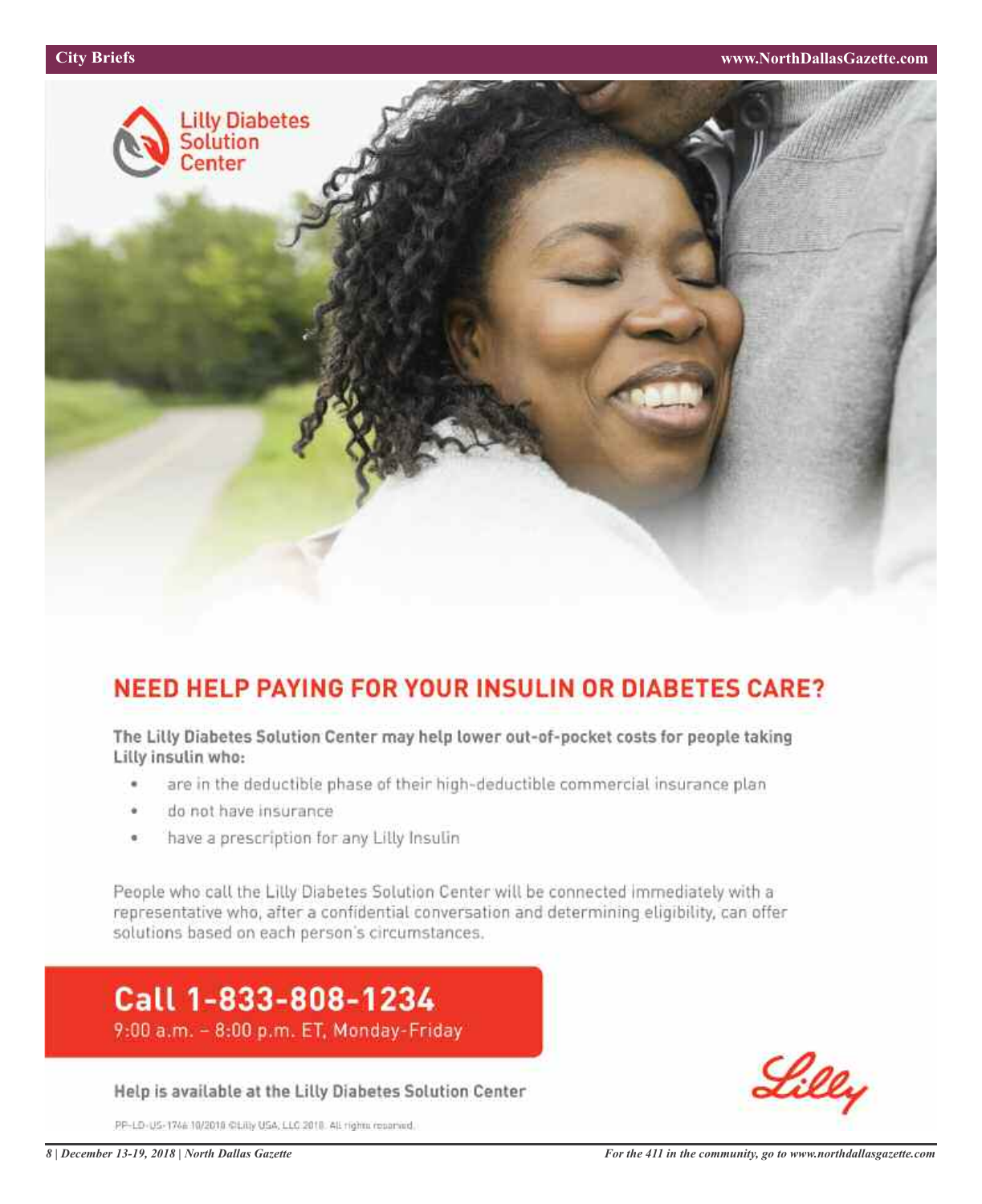

## **NEED HELP PAYING FOR YOUR INSULIN OR DIABETES CARE?**

The Lilly Diabetes Solution Center may help lower out-of-pocket costs for people taking Lilly insulin who:

- are in the deductible phase of their high-deductible commercial insurance plan ٠
- do not have insurance
- have a prescription for any Lilly Insulin ¢

People who call the Lilly Diabetes Solution Center will be connected immediately with a representative who, after a confidential conversation and determining eligibility, can offer solutions based on each person's circumstances.

## Call 1-833-808-1234 9:00 a.m. - 8:00 p.m. ET, Monday-Friday

Help is available at the Lilly Diabetes Solution Center

PP-LD-US-1746 10/2010 CLIII) USA, LLC 2010. All rights reserved.

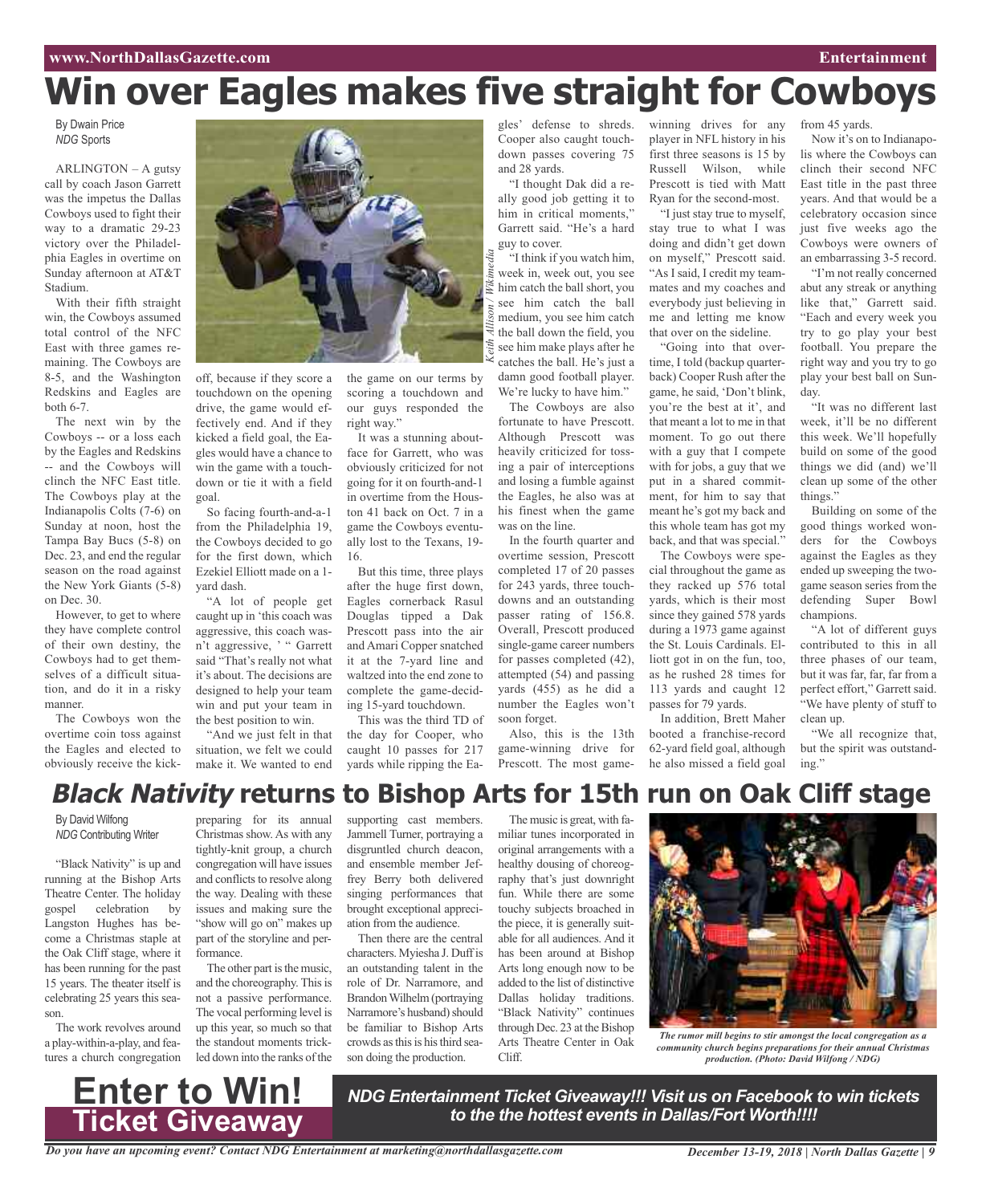# **Win over Eagles makes five straight for Cowboys**

*Keith Allison / Wikimedia*

By Dwain Price *NDG* Sports

ARLINGTON – A gutsy call by coach Jason Garrett was the impetus the Dallas Cowboys used to fight their way to a dramatic 29-23 victory over the Philadelphia Eagles in overtime on Sunday afternoon at AT&T Stadium.

With their fifth straight win, the Cowboys assumed total control of the NFC East with three games remaining. The Cowboys are 8-5, and the Washington Redskins and Eagles are both 6-7.

The next win by the Cowboys -- or a loss each by the Eagles and Redskins -- and the Cowboys will clinch the NFC East title. The Cowboys play at the Indianapolis Colts (7-6) on Sunday at noon, host the Tampa Bay Bucs (5-8) on Dec. 23, and end the regular season on the road against the New York Giants (5-8) on Dec. 30.

However, to get to where they have complete control of their own destiny, the Cowboys had to get themselves of a difficult situation, and do it in a risky manner.

The Cowboys won the overtime coin toss against the Eagles and elected to obviously receive the kick-



off, because if they score a touchdown on the opening drive, the game would effectively end. And if they kicked a field goal, the Eagles would have a chance to win the game with a touchdown or tie it with a field goal.

So facing fourth-and-a-1 from the Philadelphia 19, the Cowboys decided to go for the first down, which Ezekiel Elliott made on a 1 yard dash.

"A lot of people get caught up in 'this coach was aggressive, this coach wasn't aggressive, ' " Garrett said "That's really not what it's about. The decisions are designed to help your team win and put your team in the best position to win.

"And we just felt in that situation, we felt we could make it. We wanted to end the game on our terms by scoring a touchdown and our guys responded the right way."

It was a stunning aboutface for Garrett, who was obviously criticized for not going for it on fourth-and-1 in overtime from the Houston 41 back on Oct. 7 in a game the Cowboys eventually lost to the Texans, 19- 16.

But this time, three plays after the huge first down, Eagles cornerback Rasul Douglas tipped a Dak Prescott pass into the air and Amari Copper snatched it at the 7-yard line and waltzed into the end zone to complete the game-deciding 15-yard touchdown.

This was the third TD of the day for Cooper, who caught 10 passes for 217 yards while ripping the Eagles' defense to shreds. Cooper also caught touchdown passes covering 75 and 28 yards.

"I thought Dak did a really good job getting it to him in critical moments," Garrett said. "He's a hard guy to cover.

"I think if you watch him, week in, week out, you see him catch the ball short, you see him catch the ball medium, you see him catch the ball down the field, you see him make plays after he catches the ball. He's just a damn good football player.

We're lucky to have him." The Cowboys are also fortunate to have Prescott. Although Prescott was heavily criticized for tossing a pair of interceptions and losing a fumble against the Eagles, he also was at his finest when the game was on the line.

In the fourth quarter and overtime session, Prescott completed 17 of 20 passes for 243 yards, three touchdowns and an outstanding passer rating of 156.8. Overall, Prescott produced single-game career numbers for passes completed (42), attempted (54) and passing yards (455) as he did a number the Eagles won't soon forget.

Also, this is the 13th game-winning drive for Prescott. The most gamewinning drives for any player in NFL history in his first three seasons is 15 by Russell Wilson, while Prescott is tied with Matt Ryan for the second-most.

"I just stay true to myself, stay true to what I was doing and didn't get down on myself," Prescott said. "As I said, I credit my teammates and my coaches and everybody just believing in me and letting me know that over on the sideline.

"Going into that overtime, I told (backup quarterback) Cooper Rush after the game, he said, 'Don't blink, you're the best at it', and that meant a lot to me in that moment. To go out there with a guy that I compete with for jobs, a guy that we put in a shared commitment, for him to say that meant he's got my back and this whole team has got my back, and that was special."

The Cowboys were special throughout the game as they racked up 576 total yards, which is their most since they gained 578 yards during a 1973 game against the St. Louis Cardinals. Elliott got in on the fun, too, as he rushed 28 times for 113 yards and caught 12 passes for 79 yards.

In addition, Brett Maher booted a franchise-record 62-yard field goal, although he also missed a field goal from 45 yards.

Now it's on to Indianapolis where the Cowboys can clinch their second NFC East title in the past three years. And that would be a celebratory occasion since just five weeks ago the Cowboys were owners of an embarrassing 3-5 record.

"I'm not really concerned abut any streak or anything like that," Garrett said. "Each and every week you try to go play your best football. You prepare the right way and you try to go play your best ball on Sunday.

"It was no different last week, it'll be no different this week. We'll hopefully build on some of the good things we did (and) we'll clean up some of the other things."

Building on some of the good things worked wonders for the Cowboys against the Eagles as they ended up sweeping the twogame season series from the defending Super Bowl champions.

"A lot of different guys contributed to this in all three phases of our team, but it was far, far, far from a perfect effort," Garrett said. "We have plenty of stuff to clean up.

"We all recognize that, but the spirit was outstanding."

## **Black Nativity returns to Bishop Arts for 15th run on Oak Cliff stage**

By David Wilfong *NDG* Contributing Writer

"Black Nativity" is up and running at the Bishop Arts Theatre Center. The holiday gospel celebration by Langston Hughes has become a Christmas staple at the Oak Cliff stage, where it has been running for the past 15 years. The theater itself is celebrating 25 years this season.

The work revolves around a play-within-a-play, and features a church congregation

**Enter to Win!**

preparing for its annual Christmas show. As with any tightly-knit group, a church congregation will have issues and conflicts to resolve along the way. Dealing with these issues and making sure the "show will go on" makes up part of the storyline and performance.

The other part is the music, and the choreography. This is not a passive performance. The vocal performing level is up this year, so much so that the standout moments trickled down into the ranks of the

supporting cast members. Jammell Turner, portraying a disgruntled church deacon, and ensemble member Jeffrey Berry both delivered singing performances that brought exceptional appreciation from the audience.

Then there are the central characters. Myiesha J. Duffis an outstanding talent in the role of Dr. Narramore, and BrandonWilhelm (portraying Narramore's husband) should be familiar to Bishop Arts crowds as this is his third season doing the production.

The music is great, with familiar tunes incorporated in original arrangements with a healthy dousing of choreography that's just downright fun. While there are some touchy subjects broached in the piece, it is generally suitable for all audiences. And it has been around at Bishop Arts long enough now to be added to the list of distinctive Dallas holiday traditions. "Black Nativity" continues through Dec. 23 at the Bishop Arts Theatre Center in Oak Cliff.

*NDG Entertainment Ticket Giveaway!!! Visit us on Facebook to win tickets to the the hottest events in Dallas/Fort Worth!!!!*



*The rumor mill begins to stir amongst the local congregation as a community church begins preparations for their annual Christmas production. (Photo: David Wilfong / NDG)*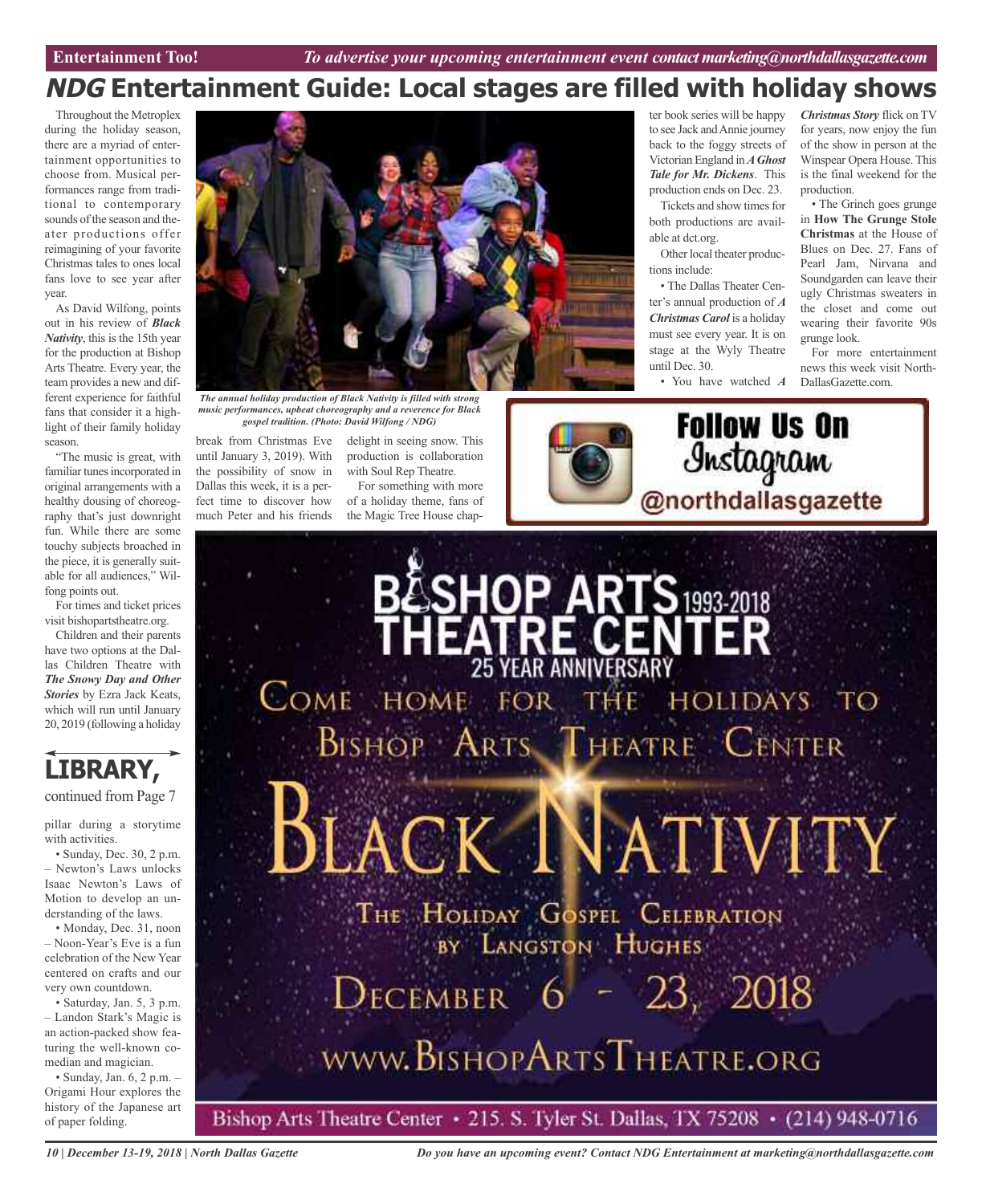## **NDG Entertainment Guide: Local stages are filled with holiday shows**

Throughout the Metroplex during the holiday season, there are a myriad of entertainment opportunities to choose from. Musical performances range from traditional to contemporary sounds of the season and theater productions offer reimagining of your favorite Christmas tales to ones local fans love to see year after year.

As David Wilfong, points out in his review of *Black Nativity*, this is the 15th year for the production at Bishop Arts Theatre. Every year, the team provides a new and different experience for faithful fans that consider it a highlight of their family holiday season.

"The music is great, with familiar tunes incorporated in original arrangements with a healthy dousing of choreography that's just downright fun. While there are some touchy subjects broached in the piece, it is generally suitable for all audiences," Wilfong points out.

For times and ticket prices visit bishopartstheatre.org.

Children and their parents have two options at the Dallas Children Theatre with *The Snowy Day and Other Stories* by Ezra Jack Keats, which will run until January 20, 2019 (following a holiday



continued from Page 7

pillar during a storytime with activities.

• Sunday, Dec. 30, 2 p.m. – Newton's Laws unlocks Isaac Newton's Laws of Motion to develop an understanding of the laws.

• Monday, Dec. 31, noon – Noon-Year's Eve is a fun celebration of the New Year centered on crafts and our very own countdown.

• Saturday, Jan. 5, 3 p.m. – Landon Stark's Magic is an action-packed show featuring the well-known comedian and magician.

• Sunday, Jan. 6, 2 p.m. – Origami Hour explores the history of the Japanese art of paper folding.



*The annual holiday production of Black Nativity is filled with strong music performances, upbeat choreography and a reverence for Black gospel tradition. (Photo: David Wilfong / NDG)*

break from Christmas Eve until January 3, 2019). With the possibility of snow in Dallas this week, it is a perfect time to discover how much Peter and his friends delight in seeing snow. This production is collaboration with Soul Rep Theatre.

For something with more of a holiday theme, fans of



ter book series will be happy to see Jack and Annie journey back to the foggy streets of Victorian England in*AGhost Tale for Mr. Dickens*. This production ends on Dec. 23. Tickets and show times for

both productions are available at dct.org.

Other local theater productions include:

• The Dallas Theater Center's annual production of *A Christmas Carol* is a holiday must see every year. It is on stage at the Wyly Theatre until Dec. 30.

• You have watched *A*

**Follow Us On** 

Instagram

*Christmas Story* flick on TV for years, now enjoy the fun of the show in person at the Winspear Opera House. This is the final weekend for the production.

• The Grinch goes grunge in **How The Grunge Stole Christmas** at the House of Blues on Dec. 27. Fans of Pearl Jam, Nirvana and Soundgarden can leave their ugly Christmas sweaters in the closet and come out wearing their favorite 90s grunge look.

For more entertainment news this week visit North-DallasGazette.com.



*10 | December 13-19, 2018 | North Dallas Gazette*

*Do you have an upcoming event? Contact NDG Entertainment at marketing@northdallasgazette.com*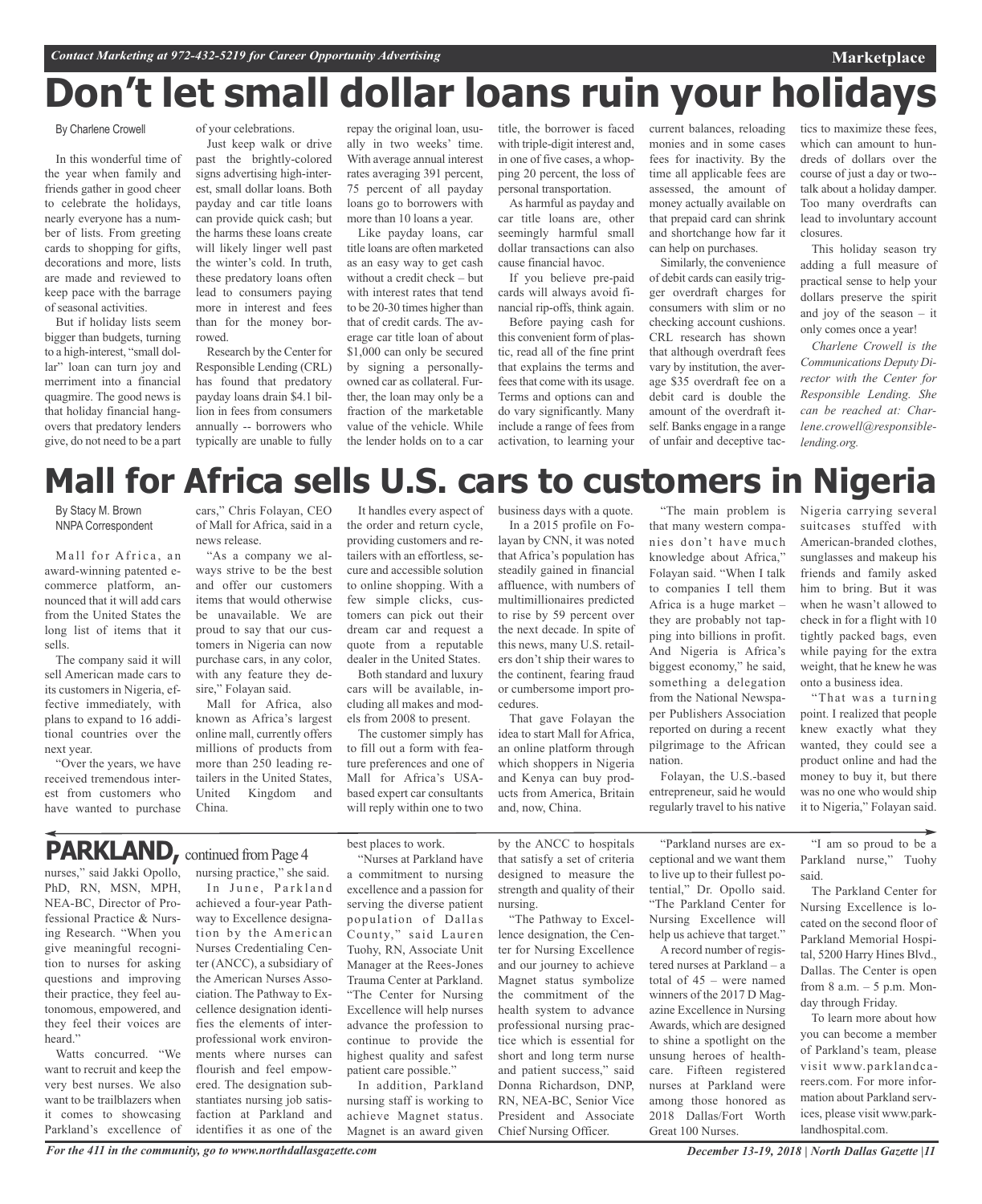## **Don't let small dollar loans ruin your holidays**

### By Charlene Crowell

In this wonderful time of the year when family and friends gather in good cheer to celebrate the holidays, nearly everyone has a number of lists. From greeting cards to shopping for gifts, decorations and more, lists are made and reviewed to keep pace with the barrage of seasonal activities.

But if holiday lists seem bigger than budgets, turning to a high-interest, "small dollar" loan can turn joy and merriment into a financial quagmire. The good news is that holiday financial hangovers that predatory lenders give, do not need to be a part of your celebrations. Just keep walk or drive

past the brightly-colored signs advertising high-interest, small dollar loans. Both payday and car title loans can provide quick cash; but the harms these loans create will likely linger well past the winter's cold. In truth, these predatory loans often lead to consumers paying more in interest and fees than for the money borrowed.

Research by the Center for Responsible Lending (CRL) has found that predatory payday loans drain \$4.1 billion in fees from consumers annually -- borrowers who typically are unable to fully repay the original loan, usually in two weeks' time. With average annual interest rates averaging 391 percent, 75 percent of all payday loans go to borrowers with more than 10 loans a year.

Like payday loans, car title loans are often marketed as an easy way to get cash without a credit check – but with interest rates that tend to be 20-30 times higher than that of credit cards. The average car title loan of about \$1,000 can only be secured by signing a personallyowned car as collateral. Further, the loan may only be a fraction of the marketable value of the vehicle. While the lender holds on to a car title, the borrower is faced with triple-digit interest and, in one of five cases, a whonping 20 percent, the loss of personal transportation.

As harmful as payday and car title loans are, other seemingly harmful small dollar transactions can also cause financial havoc.

If you believe pre-paid cards will always avoid financial rip-offs, think again.

Before paying cash for this convenient form of plastic, read all of the fine print that explains the terms and fees that come with its usage. Terms and options can and do vary significantly. Many include a range of fees from activation, to learning your current balances, reloading monies and in some cases fees for inactivity. By the time all applicable fees are assessed, the amount of money actually available on that prepaid card can shrink and shortchange how far it can help on purchases.

Similarly, the convenience of debit cards can easily trigger overdraft charges for consumers with slim or no checking account cushions. CRL research has shown that although overdraft fees vary by institution, the average \$35 overdraft fee on a debit card is double the amount of the overdraft itself. Banks engage in a range of unfair and deceptive tactics to maximize these fees, which can amount to hundreds of dollars over the course of just a day or two- talk about a holiday damper. Too many overdrafts can lead to involuntary account closures.

**Marketplace**

This holiday season try adding a full measure of practical sense to help your dollars preserve the spirit and joy of the season – it only comes once a year!

*Charlene Crowell is the Communications Deputy Director with the Center for Responsible Lending. She can be reached at: Charlene.crowell@responsiblelending.org.*

## **Mall for Africa sells U.S. cars to customers in Nigeria**

By Stacy M. Brown NNPA Correspondent

Mall for Africa, an award-winning patented ecommerce platform, announced that it will add cars from the United States the long list of items that it sells.

The company said it will sell American made cars to its customers in Nigeria, effective immediately, with plans to expand to 16 additional countries over the next year.

"Over the years, we have received tremendous interest from customers who have wanted to purchase

cars," Chris Folayan, CEO of Mall for Africa, said in a news release.

"As a company we always strive to be the best and offer our customers items that would otherwise be unavailable. We are proud to say that our customers in Nigeria can now purchase cars, in any color, with any feature they desire," Folayan said.

Mall for Africa, also known as Africa's largest online mall, currently offers millions of products from more than 250 leading retailers in the United States, United Kingdom and China.

It handles every aspect of the order and return cycle, providing customers and retailers with an effortless, secure and accessible solution to online shopping. With a few simple clicks, customers can pick out their dream car and request a quote from a reputable dealer in the United States.

Both standard and luxury cars will be available, including all makes and models from 2008 to present.

The customer simply has to fill out a form with feature preferences and one of Mall for Africa's USAbased expert car consultants will reply within one to two business days with a quote. In a 2015 profile on Folayan by CNN, it was noted that Africa's population has steadily gained in financial affluence, with numbers of multimillionaires predicted to rise by 59 percent over the next decade. In spite of this news, many U.S. retailers don't ship their wares to the continent, fearing fraud or cumbersome import procedures.

That gave Folayan the idea to start Mall for Africa, an online platform through which shoppers in Nigeria and Kenya can buy products from America, Britain and, now, China.

"The main problem is that many western companies don't have much knowledge about Africa," Folayan said. "When I talk to companies I tell them Africa is a huge market – they are probably not tapping into billions in profit. And Nigeria is Africa's biggest economy," he said, something a delegation from the National Newspaper Publishers Association reported on during a recent pilgrimage to the African nation.

Folayan, the U.S.-based entrepreneur, said he would regularly travel to his native Nigeria carrying several suitcases stuffed with American-branded clothes, sunglasses and makeup his friends and family asked him to bring. But it was when he wasn't allowed to check in for a flight with 10 tightly packed bags, even while paying for the extra weight, that he knew he was onto a business idea.

"That was a turning point. I realized that people knew exactly what they wanted, they could see a product online and had the money to buy it, but there was no one who would ship it to Nigeria," Folayan said.

### PARKLAND, continued from Page 4

nurses," said Jakki Opollo, PhD, RN, MSN, MPH, NEA-BC, Director of Professional Practice & Nursing Research. "When you give meaningful recognition to nurses for asking questions and improving their practice, they feel autonomous, empowered, and they feel their voices are heard."

Watts concurred. "We want to recruit and keep the very best nurses. We also want to be trailblazers when it comes to showcasing Parkland's excellence of

best places to work. "Nurses at Parkland have a commitment to nursing

nursing practice," she said. In June, Parkland achieved a four-year Pathway to Excellence designation by the American Nurses Credentialing Center (ANCC), a subsidiary of the American Nurses Association. The Pathway to Excellence designation identifies the elements of interprofessional work environments where nurses can flourish and feel empowered. The designation substantiates nursing job satisfaction at Parkland and identifies it as one of the

excellence and a passion for serving the diverse patient population of Dallas County," said Lauren Tuohy, RN, Associate Unit Manager at the Rees-Jones Trauma Center at Parkland. "The Center for Nursing Excellence will help nurses advance the profession to continue to provide the highest quality and safest

patient care possible." In addition, Parkland nursing staff is working to achieve Magnet status. Magnet is an award given by the ANCC to hospitals that satisfy a set of criteria designed to measure the strength and quality of their nursing.

"The Pathway to Excellence designation, the Center for Nursing Excellence and our journey to achieve Magnet status symbolize the commitment of the health system to advance professional nursing practice which is essential for short and long term nurse and patient success," said Donna Richardson, DNP, RN, NEA-BC, Senior Vice President and Associate Chief Nursing Officer.

"Parkland nurses are exceptional and we want them to live up to their fullest potential," Dr. Opollo said. "The Parkland Center for Nursing Excellence will help us achieve that target." A record number of registered nurses at Parkland – a total of 45 – were named winners of the 2017 D Magazine Excellence in Nursing Awards, which are designed to shine a spotlight on the unsung heroes of healthcare. Fifteen registered nurses at Parkland were among those honored as 2018 Dallas/Fort Worth Great 100 Nurses.

"I am so proud to be a Parkland nurse," Tuohy said.

The Parkland Center for Nursing Excellence is located on the second floor of Parkland Memorial Hospital, 5200 Harry Hines Blvd., Dallas. The Center is open from 8 a.m. – 5 p.m. Monday through Friday.

To learn more about how you can become a member of Parkland's team, please visit www.parklandcareers.com. For more information about Parkland services, please visit www.parklandhospital.com.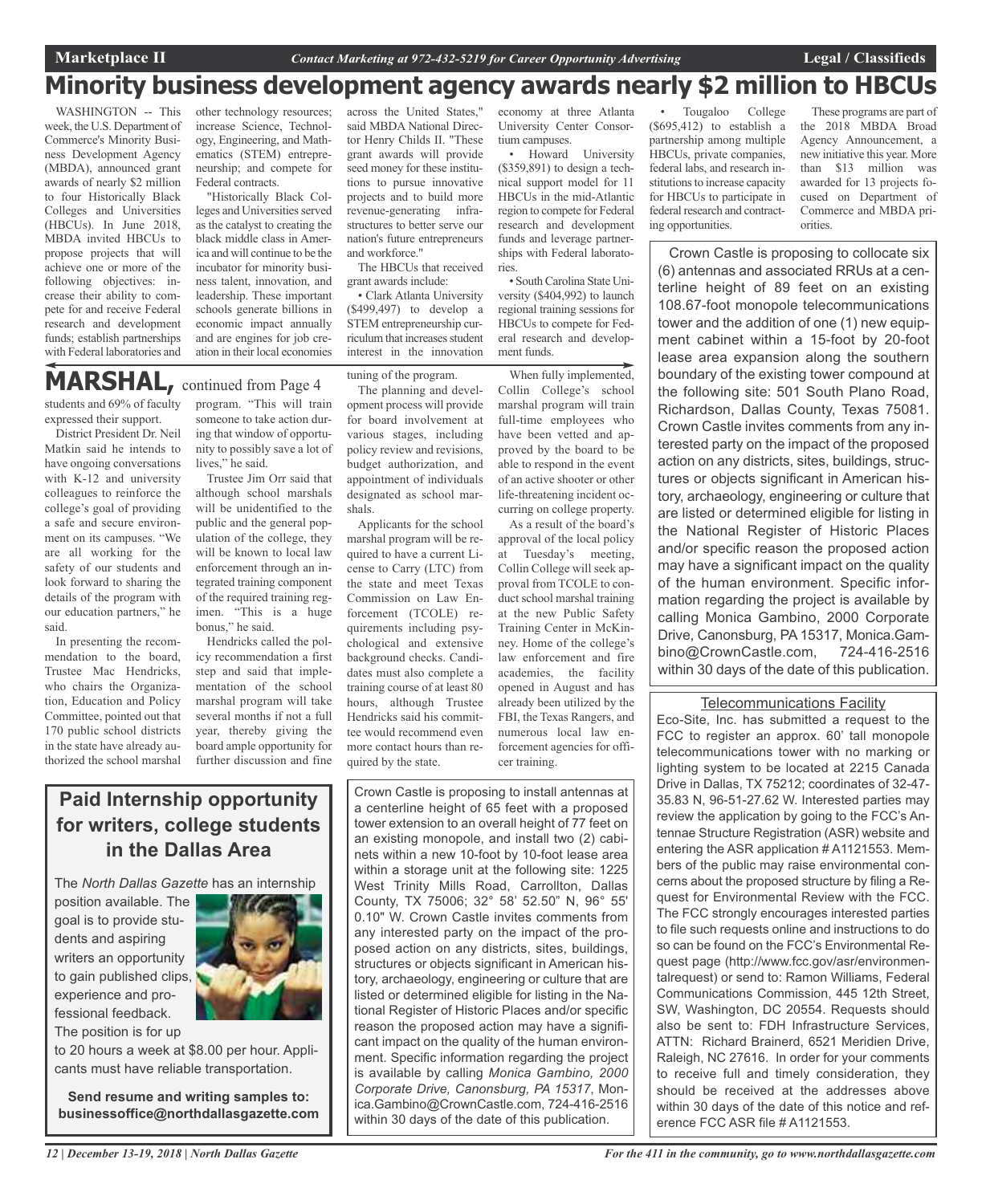## **Minority business development agency awards nearly \$2 million to HBCUs**

WASHINGTON -- This week, the U.S. Department of Commerce's Minority Business Development Agency (MBDA), announced grant awards of nearly \$2 million to four Historically Black Colleges and Universities (HBCUs). In June 2018, MBDA invited HBCUs to propose projects that will achieve one or more of the following objectives: increase their ability to compete for and receive Federal research and development funds; establish partnerships with Federal laboratories and

other technology resources; increase Science, Technology, Engineering, and Mathematics (STEM) entrepreneurship; and compete for Federal contracts.

"Historically Black Colleges and Universities served as the catalyst to creating the black middle class in America and will continue to be the incubator for minority business talent, innovation, and leadership. These important schools generate billions in economic impact annually and are engines for job creation in their local economies

across the United States," said MBDA National Director Henry Childs II. "These grant awards will provide seed money for these institutions to pursue innovative projects and to build more revenue-generating infrastructures to better serve our nation's future entrepreneurs and workforce."

The HBCUs that received grant awards include:

• Clark Atlanta University (\$499,497) to develop a STEM entrepreneurship curriculum that increases student interest in the innovation

tuning of the program.

students and 69% of faculty expressed their support. **MARSHAL,** continued from Page <sup>4</sup>

District President Dr. Neil Matkin said he intends to have ongoing conversations with K-12 and university colleagues to reinforce the college's goal of providing a safe and secure environment on its campuses. "We are all working for the safety of our students and look forward to sharing the details of the program with our education partners," he said.

In presenting the recommendation to the board, Trustee Mac Hendricks, who chairs the Organization, Education and Policy Committee, pointed out that 170 public school districts in the state have already authorized the school marshal program. "This will train someone to take action during that window of opportunity to possibly save a lot of lives," he said.

Trustee Jim Orr said that although school marshals will be unidentified to the public and the general population of the college, they will be known to local law enforcement through an integrated training component of the required training regimen. "This is a huge bonus," he said.

Hendricks called the policy recommendation a first step and said that implementation of the school marshal program will take several months if not a full year, thereby giving the board ample opportunity for further discussion and fine

The planning and development process will provide for board involvement at various stages, including policy review and revisions, budget authorization, and appointment of individuals designated as school marshals.

Applicants for the school marshal program will be required to have a current License to Carry (LTC) from the state and meet Texas Commission on Law Enforcement (TCOLE) requirements including psychological and extensive background checks. Candidates must also complete a training course of at least 80 hours, although Trustee Hendricks said his committee would recommend even more contact hours than required by the state.

Crown Castle is proposing to install antennas at a centerline height of 65 feet with a proposed tower extension to an overall height of 77 feet on an existing monopole, and install two (2) cabinets within a new 10-foot by 10-foot lease area within a storage unit at the following site: 1225 West Trinity Mills Road, Carrollton, Dallas County, TX 75006; 32° 58' 52.50" N, 96° 55' 0.10" W. Crown Castle invites comments from any interested party on the impact of the proposed action on any districts, sites, buildings, structures or objects significant in American history, archaeology, engineering or culture that are listed or determined eligible for listing in the National Register of Historic Places and/or specific reason the proposed action may have a significant impact on the quality of the human environment. Specific information regarding the project is available by calling *Monica Gambino, 2000 Corporate Drive, Canonsburg, PA 15317*, Monica.Gambino@CrownCastle.com, 724-416-2516 within 30 days of the date of this publication.

economy at three Atlanta University Center Consortium campuses. • Howard University

(\$359,891) to design a technical support model for 11 HBCUs in the mid-Atlantic region to compete for Federal research and development funds and leverage partnerships with Federal laboratories.

• South Carolina State University (\$404,992) to launch regional training sessions for HBCUs to compete for Federal research and development funds.

When fully implemented, Collin College's school marshal program will train full-time employees who have been vetted and approved by the board to be able to respond in the event of an active shooter or other life-threatening incident occurring on college property.

As a result of the board's approval of the local policy at Tuesday's meeting, Collin College will seek approval from TCOLE to conduct school marshal training at the new Public Safety Training Center in McKinney. Home of the college's law enforcement and fire academies, the facility opened in August and has already been utilized by the FBI, the Texas Rangers, and numerous local law enforcement agencies for officer training.

Tougaloo College (\$695,412) to establish a partnership among multiple HBCUs, private companies, federal labs, and research institutions to increase capacity for HBCUs to participate in federal research and contracting opportunities.

These programs are part of the 2018 MBDA Broad Agency Announcement, a new initiative this year. More than \$13 million was awarded for 13 projects focused on Department of Commerce and MBDA priorities.

Crown Castle is proposing to collocate six (6) antennas and associated RRUs at a centerline height of 89 feet on an existing 108.67-foot monopole telecommunications tower and the addition of one (1) new equipment cabinet within a 15-foot by 20-foot lease area expansion along the southern boundary of the existing tower compound at the following site: 501 South Plano Road, Richardson, Dallas County, Texas 75081. Crown Castle invites comments from any interested party on the impact of the proposed action on any districts, sites, buildings, structures or objects significant in American history, archaeology, engineering or culture that are listed or determined eligible for listing in the National Register of Historic Places and/or specific reason the proposed action may have a significant impact on the quality of the human environment. Specific information regarding the project is available by calling Monica Gambino, 2000 Corporate Drive, Canonsburg, PA 15317, Monica.Gambino@CrownCastle.com, 724-416-2516 within 30 days of the date of this publication.

### Telecommunications Facility

Eco-Site, Inc. has submitted a request to the FCC to register an approx. 60' tall monopole telecommunications tower with no marking or lighting system to be located at 2215 Canada Drive in Dallas, TX 75212; coordinates of 32-47- 35.83 N, 96-51-27.62 W. Interested parties may review the application by going to the FCC's Antennae Structure Registration (ASR) website and entering the ASR application # A1121553. Members of the public may raise environmental concerns about the proposed structure by filing a Request for Environmental Review with the FCC. The FCC strongly encourages interested parties to file such requests online and instructions to do so can be found on the FCC's Environmental Request page (http://www.fcc.gov/asr/environmentalrequest) or send to: Ramon Williams, Federal Communications Commission, 445 12th Street, SW, Washington, DC 20554. Requests should also be sent to: FDH Infrastructure Services, ATTN: Richard Brainerd, 6521 Meridien Drive, Raleigh, NC 27616. In order for your comments to receive full and timely consideration, they should be received at the addresses above within 30 days of the date of this notice and reference FCC ASR file # A1121553.

**in the Dallas Area** The *North Dallas Gazette* has an internship position available. The

**Paid Internship opportunity**

**for writers, college students**

goal is to provide students and aspiring writers an opportunity to gain published clips, experience and professional feedback.

The position is for up

to 20 hours a week at \$8.00 per hour. Applicants must have reliable transportation.

**Send resume and writing samples to: businessoffice@northdallasgazette.com**

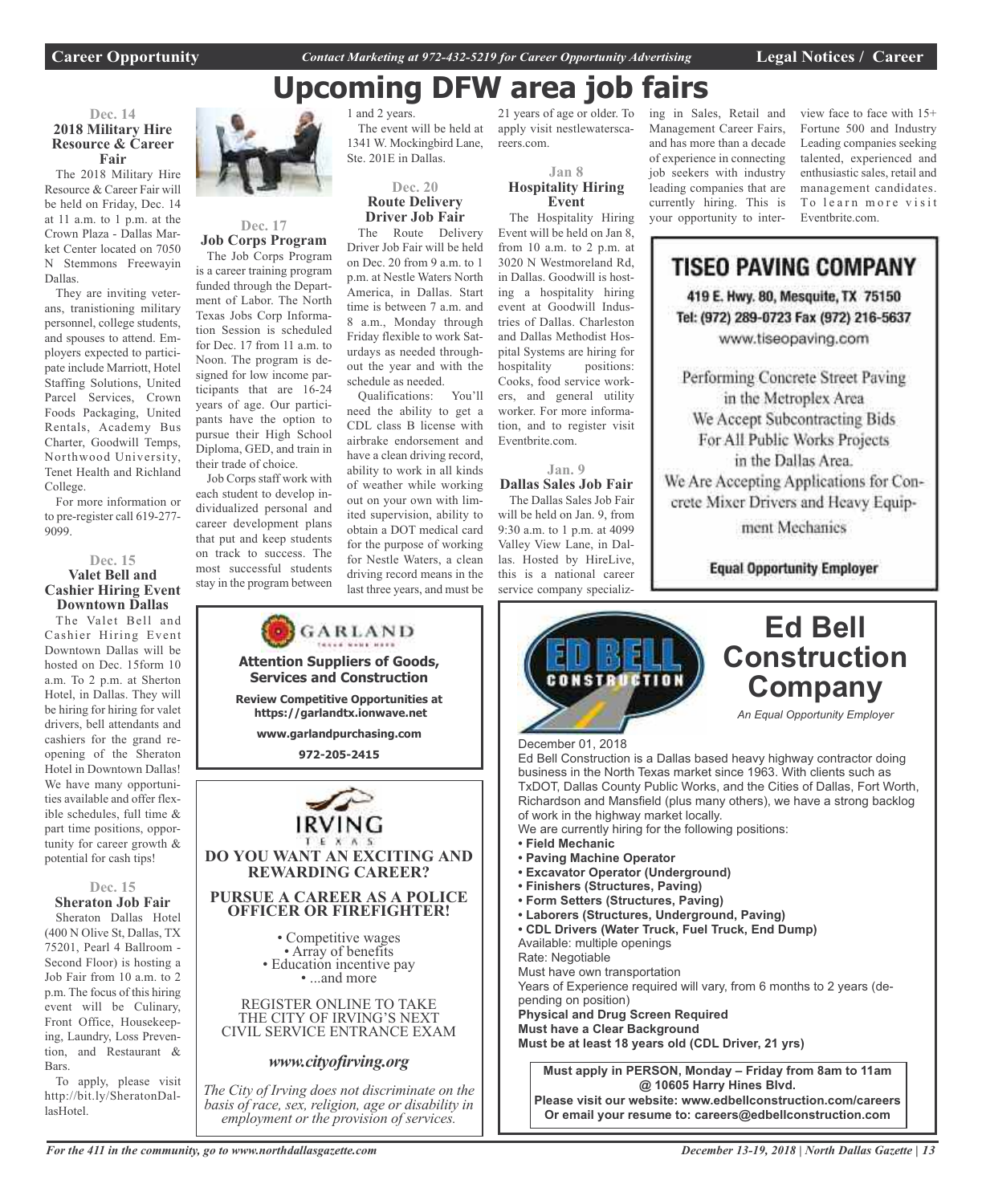## **Upcoming DFW area job fairs**

**Dec. 14 2018 Military Hire Resource & Career Fair**

The 2018 Military Hire Resource & Career Fair will be held on Friday, Dec. 14 at 11 a.m. to 1 p.m. at the Crown Plaza - Dallas Market Center located on 7050 N Stemmons Freewayin Dallas.

They are inviting veterans, tranistioning military personnel, college students, and spouses to attend. Employers expected to participate include Marriott, Hotel Staffing Solutions, United Parcel Services, Crown Foods Packaging, United Rentals, Academy Bus Charter, Goodwill Temps, Northwood University, Tenet Health and Richland College.

For more information or to pre-register call 619-277- 9099.

### **Dec. 15 Valet Bell and Cashier Hiring Event Downtown Dallas**

The Valet Bell and Cashier Hiring Event Downtown Dallas will be hosted on Dec. 15form 10 a.m. To 2 p.m. at Sherton Hotel, in Dallas. They will be hiring for hiring for valet drivers, bell attendants and cashiers for the grand reopening of the Sheraton Hotel in Downtown Dallas! We have many opportunities available and offer flexible schedules, full time & part time positions, opportunity for career growth & potential for cash tips!

#### **Dec. 15 Sheraton Job Fair**

Sheraton Dallas Hotel (400 N Olive St, Dallas, TX 75201, Pearl 4 Ballroom - Second Floor) is hosting a Job Fair from 10 a.m. to 2 p.m. The focus of this hiring event will be Culinary, Front Office, Housekeeping, Laundry, Loss Prevention, and Restaurant & Bars.

To apply, please visit http://bit.ly/SheratonDallasHotel.



### **Dec. 17 Job Corps Program**

The Job Corps Program is a career training program funded through the Department of Labor. The North Texas Jobs Corp Information Session is scheduled for Dec. 17 from 11 a.m. to Noon. The program is designed for low income participants that are 16-24 years of age. Our participants have the option to pursue their High School Diploma, GED, and train in their trade of choice.

Job Corps staff work with each student to develop individualized personal and career development plans that put and keep students on track to success. The most successful students stay in the program between

> **Attention Suppliers of Goods, Services and Construction Review Competitive Opportunities at https://garlandtx.ionwave.net www.garlandpurchasing.com 972-205-2415**

GARLAND

**REWARDING CAREER?**

**OFFICER OR FIREFIGHTER!**

• Competitive wages<br>• Array of benefits<br>• Education incentive pay<br>• ...and more

REGISTER ONLINE TO TAKE THE CITY OF IRVING'S NEXT

*www.cityofirving.org*

1 and 2 years. The event will be held at 1341 W. Mockingbird Lane, Ste. 201E in Dallas.

### **Dec. 20 Route Delivery Driver Job Fair**

The Route Delivery Driver Job Fair will be held on Dec. 20 from 9 a.m. to 1 p.m. at Nestle Waters North America, in Dallas. Start time is between 7 a.m. and 8 a.m., Monday through Friday flexible to work Saturdays as needed throughout the year and with the schedule as needed.

Qualifications: You'll need the ability to get a CDL class B license with airbrake endorsement and have a clean driving record, ability to work in all kinds of weather while working out on your own with limited supervision, ability to obtain a DOT medical card for the purpose of working for Nestle Waters, a clean driving record means in the last three years, and must be

21 years of age or older. To apply visit nestlewaterscareers.com.

**Jan 8**

### **Hospitality Hiring Event**

The Hospitality Hiring Event will be held on Jan 8, from 10 a.m. to 2 p.m. at 3020 N Westmoreland Rd, in Dallas. Goodwill is hosting a hospitality hiring event at Goodwill Industries of Dallas. Charleston and Dallas Methodist Hospital Systems are hiring for hospitality positions: Cooks, food service workers, and general utility worker. For more information, and to register visit Eventbrite.com.

**Jan. 9**

**Dallas Sales Job Fair** The Dallas Sales Job Fair will be held on Jan. 9, from 9:30 a.m. to 1 p.m. at 4099 Valley View Lane, in Dallas. Hosted by HireLive, this is a national career service company specializing in Sales, Retail and Management Career Fairs, and has more than a decade of experience in connecting job seekers with industry leading companies that are currently hiring. This is your opportunity to interview face to face with 15+ Fortune 500 and Industry Leading companies seeking talented, experienced and enthusiastic sales, retail and management candidates. To learn more visit Eventbrite.com.

## **TISEO PAVING COMPANY**

419 E. Hwy. 80, Mesquite, TX 75150 Tel: (972) 289-0723 Fax (972) 216-5637 www.tiseopaving.com

Performing Concrete Street Paving in the Metroplex Area We Accept Subcontracting Bids For All Public Works Projects in the Dallas Area. We Are Accepting Applications for Concrete Mixer Drivers and Heavy Equip-

ment Mechanics

**Equal Opportunity Employer** 



*For the 411 in the community, go to www.northdallasgazette.com*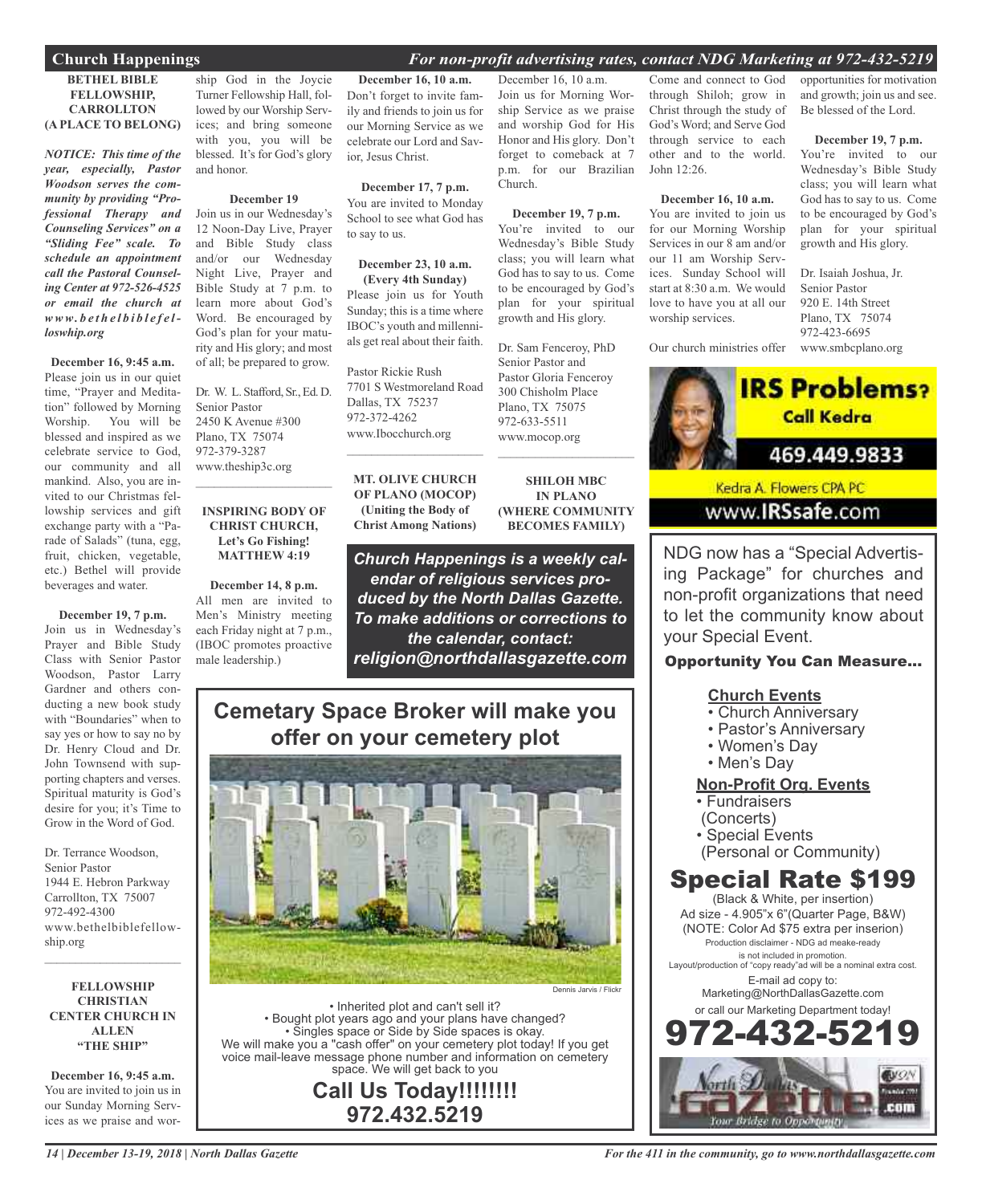### **Church Happenings** *For non-profit advertising rates, contact NDG Marketing at 972-432-5219*

### **BETHEL BIBLE FELLOWSHIP, CARROLLTON (A PLACE TO BELONG)**

*NOTICE: This time of the year, especially, Pastor Woodson serves the community by providing "Professional Therapy and Counseling Services" on a "Sliding Fee" scale. To schedule an appointment call the Pastoral Counseling Center at 972-526-4525 or email the church at www. b e t h e l b i b l e f e lloswhip.org*

#### **December 16, 9:45 a.m.**

Please join us in our quiet time, "Prayer and Meditation" followed by Morning Worship. You will be blessed and inspired as we celebrate service to God, our community and all mankind. Also, you are invited to our Christmas fellowship services and gift exchange party with a "Parade of Salads" (tuna, egg, fruit, chicken, vegetable, etc.) Bethel will provide beverages and water.

### **December 19, 7 p.m.**

Join us in Wednesday's Prayer and Bible Study Class with Senior Pastor Woodson, Pastor Larry Gardner and others conducting a new book study with "Boundaries" when to say yes or how to say no by Dr. Henry Cloud and Dr. John Townsend with supporting chapters and verses. Spiritual maturity is God's desire for you; it's Time to Grow in the Word of God.

Dr. Terrance Woodson, Senior Pastor 1944 E. Hebron Parkway Carrollton, TX 75007 972-492-4300 www.bethelbiblefellowship.org

### **FELLOWSHIP CHRISTIAN CENTER CHURCH IN ALLEN "THE SHIP"**

 $\mathcal{L}$  , and the set of the set of the set of the set of the set of the set of the set of the set of the set of the set of the set of the set of the set of the set of the set of the set of the set of the set of the set

**December 16, 9:45 a.m.** You are invited to join us in our Sunday Morning Services as we praise and wor-

ship God in the Joycie Turner Fellowship Hall, followed by our Worship Services; and bring someone with you, you will be blessed. It's for God's glory and honor.

#### **December 19**

Join us in our Wednesday's 12 Noon-Day Live, Prayer and Bible Study class and/or our Wednesday Night Live, Prayer and Bible Study at 7 p.m. to learn more about God's Word. Be encouraged by God's plan for your maturity and His glory; and most of all; be prepared to grow.

Dr. W. L. Stafford, Sr., Ed. D. Senior Pastor 2450 K Avenue #300 Plano, TX 75074 972-379-3287 www.theship3c.org

### **INSPIRING BODY OF CHRIST CHURCH, Let's Go Fishing! MATTHEW 4:19**

 $\overline{\phantom{a}}$  , and the set of the set of the set of the set of the set of the set of the set of the set of the set of the set of the set of the set of the set of the set of the set of the set of the set of the set of the s

**December 14, 8 p.m.** All men are invited to Men's Ministry meeting each Friday night at 7 p.m., (IBOC promotes proactive male leadership.)

**December 16, 10 a.m.** Don't forget to invite family and friends to join us for our Morning Service as we celebrate our Lord and Savior, Jesus Christ.

**December 17, 7 p.m.** You are invited to Monday School to see what God has to say to us.

### **December 23, 10 a.m.**

**(Every 4th Sunday)** Please join us for Youth Sunday; this is a time where IBOC's youth and millennials get real about their faith.

Pastor Rickie Rush 7701 S Westmoreland Road Dallas, TX 75237 972-372-4262 www.Ibocchurch.org

**MT. OLIVE CHURCH OF PLANO (MOCOP) (Uniting the Body of Christ Among Nations)**

 $\mathcal{L}$  , and the set of the set of the set of the set of the set of the set of the set of the set of the set of the set of the set of the set of the set of the set of the set of the set of the set of the set of the set

**SHILOH MBC IN PLANO (WHERE COMMUNITY BECOMES FAMILY)**

 $\mathcal{L}_\text{max}$  , which is a set of the set of the set of the set of the set of the set of the set of the set of the set of the set of the set of the set of the set of the set of the set of the set of the set of the set of

Dr. Sam Fenceroy, PhD Senior Pastor and Pastor Gloria Fenceroy 300 Chisholm Place Plano, TX 75075 972-633-5511 www.mocop.org

December 16, 10 a.m. Join us for Morning Wor-

p.m. for our Brazilian

**December 19, 7 p.m.** You're invited to our Wednesday's Bible Study class; you will learn what God has to say to us. Come to be encouraged by God's plan for your spiritual growth and His glory.

Church.

*Church Happenings is a weekly calendar of religious services produced by the North Dallas Gazette. To make additions or corrections to the calendar, contact: religion@northdallasgazette.com*

### **Cemetary Space Broker will make you offer on your cemetery plot**



• Inherited plot and can't sell it? • Bought plot years ago and your plans have changed? • Singles space or Side by Side spaces is okay. We will make you a "cash offer" on your cemetery plot today! If you get voice mail-leave message phone number and information on cemetery space. We will get back to you

**Call Us Today!!!!!!!! 972.432.5219**

ship Service as we praise and worship God for His Honor and His glory. Don't forget to comeback at 7 Come and connect to God through Shiloh; grow in Christ through the study of God's Word; and Serve God through service to each other and to the world. John 12:26.

#### **December 16, 10 a.m.**

You are invited to join us for our Morning Worship Services in our 8 am and/or our 11 am Worship Services. Sunday School will start at 8:30 a.m. We would love to have you at all our worship services.

opportunities for motivation and growth; join us and see. Be blessed of the Lord.

#### **December 19, 7 p.m.**

You're invited to our Wednesday's Bible Study class; you will learn what God has to say to us. Come to be encouraged by God's plan for your spiritual growth and His glory.

Our church ministries offer www.smbcplano.org Dr. Isaiah Joshua, Jr. Senior Pastor 920 E. 14th Street Plano, TX 75074 972-423-6695



Kedra A. Flowers CPA PC www.IRSsafe.com

NDG now has a "Special Advertising Package" for churches and non-profit organizations that need to let the community know about your Special Event.

### Opportunity You Can Measure...

### **Church Events**

- Church Anniversary
- Pastor's Anniversary
- Women's Day
- Men's Day

### **Non-Profit Org. Events**

- Fundraisers
- (Concerts)
- Special Events
- (Personal or Community)

### Special Rate \$199

(Black & White, per insertion) Ad size - 4.905"x 6"(Quarter Page, B&W) (NOTE: Color Ad \$75 extra per inserion) Production disclaimer - NDG ad meake-ready is not included in promotion. Layout/production of "copy ready"ad will be a nominal extra cost. E-mail ad copy to: Marketing@NorthDallasGazette.com or call our Marketing Department today!

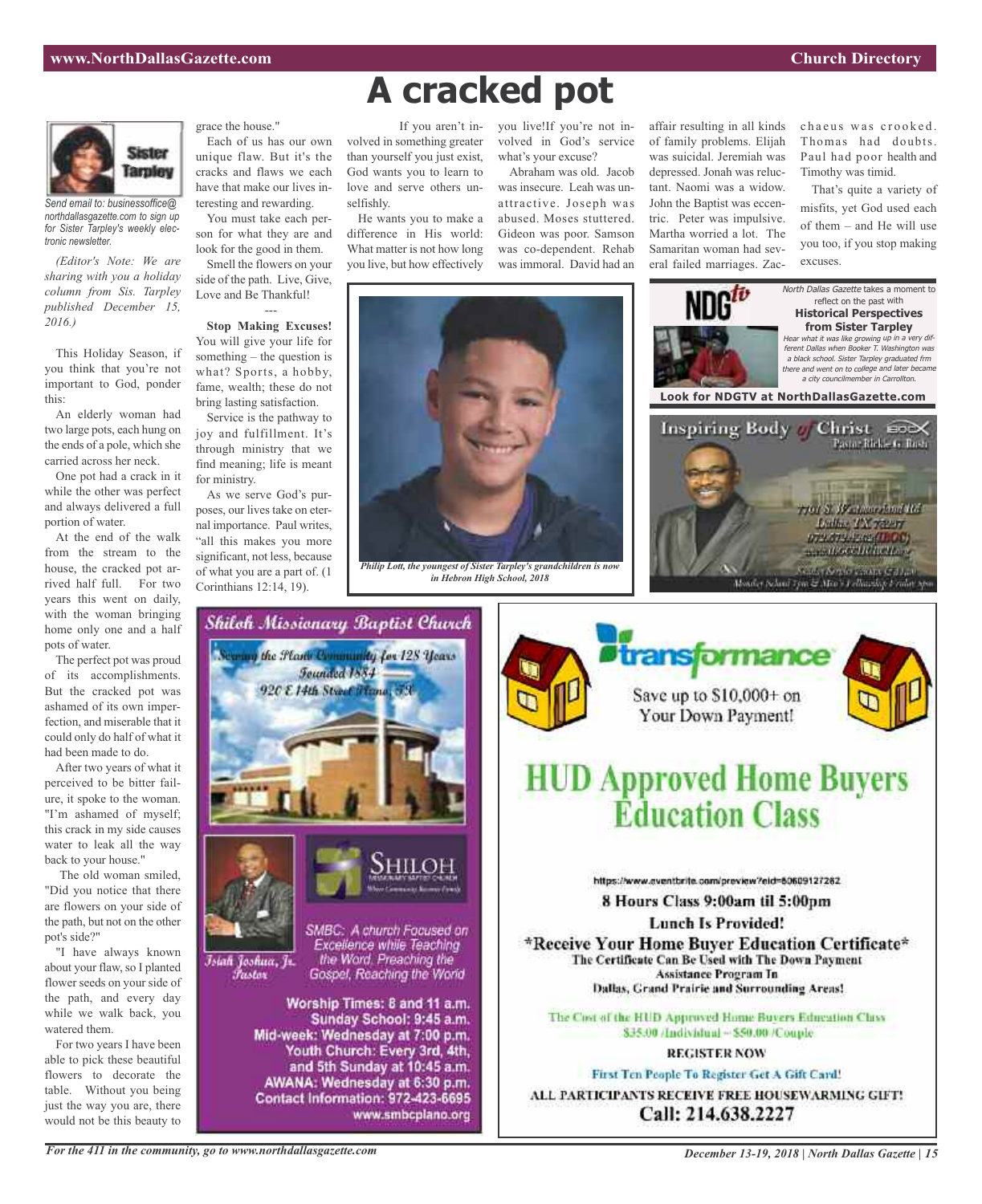

*Send email to: businessoffice@ northdallasgazette.com to sign up for Sister Tarpley's weekly electronic newsletter.*

*(Editor's Note: We are sharing with you a holiday column from Sis. Tarpley published December 15, 2016.)*

This Holiday Season, if you think that you're not important to God, ponder this:

An elderly woman had two large pots, each hung on the ends of a pole, which she carried across her neck.

One pot had a crack in it while the other was perfect and always delivered a full portion of water.

At the end of the walk from the stream to the house, the cracked pot arrived half full. For two years this went on daily, with the woman bringing home only one and a half pots of water.

The perfect pot was proud of its accomplishments. But the cracked pot was ashamed of its own imperfection, and miserable that it could only do half of what it had been made to do.

After two years of what it perceived to be bitter failure, it spoke to the woman. "I'm ashamed of myself; this crack in my side causes water to leak all the way back to your house."

The old woman smiled, "Did you notice that there are flowers on your side of the path, but not on the other pot's side?"

"I have always known about your flaw, so I planted flower seeds on your side of the path, and every day while we walk back, you watered them.

For two years I have been able to pick these beautiful flowers to decorate the table. Without you being just the way you are, there would not be this beauty to

grace the house."

Each of us has our own unique flaw. But it's the cracks and flaws we each have that make our lives interesting and rewarding.

You must take each person for what they are and look for the good in them.

Smell the flowers on your side of the path. Live, Give, Love and Be Thankful! ---

**Stop Making Excuses!** You will give your life for something – the question is what? Sports, a hobby, fame, wealth; these do not bring lasting satisfaction.

Service is the pathway to joy and fulfillment. It's through ministry that we find meaning; life is meant for ministry.

As we serve God's purposes, our lives take on eternal importance. Paul writes, "all this makes you more significant, not less, because of what you are a part of. (1 Corinthians 12:14, 19).

## **A cracked pot**

volved in something greater than yourself you just exist, God wants you to learn to love and serve others unselfishly.

He wants you to make a difference in His world: What matter is not how long you live, but how effectively

If you aren't in-you live!If you're not involved in God's service what's your excuse? Abraham was old. Jacob

was insecure. Leah was unattractive. Joseph was abused. Moses stuttered. Gideon was poor. Samson was co-dependent. Rehab was immoral. David had an

affair resulting in all kinds of family problems. Elijah was suicidal. Jeremiah was depressed. Jonah was reluctant. Naomi was a widow. John the Baptist was eccentric. Peter was impulsive. Martha worried a lot. The Samaritan woman had several failed marriages. Zacchaeus was crooked Thomas had doubts. Paul had poor health and Timothy was timid.

That's quite a variety of misfits, yet God used each of them – and He will use you too, if you stop making excuses.



*Philip Lott, the youngest of Sister Tarpley's grandchildren is now in Hebron High School, 2018*





Shiloh Missionary Baptist Church



## **HUD Approved Home Buyers Éducation Class**

https://www.aventbrite.com/preview?eid=80609127282

8 Hours Class 9:00am til 5:00pm

**Lunch Is Provided!** 

\*Receive Your Home Buver Education Certificate\* The Certificate Can Be Used with The Down Payment Assistance Program In Dallas, Grand Prairie and Surrounding Areas!

The Cost of the HUD Approved Home Buyers Education Class \$35.00 /Individual ~ \$50.00 /Couple.

### **REGISTER NOW**

First Ten People To Register Get A Gift Card! ALL PARTICIPANTS RECEIVE FREE HOUSEWARMING GIFT! Call: 214.638.2227

*For the 411 in the community, go to www.northdallasgazette.com*

*December 13-19, 2018 | North Dallas Gazette | 15*